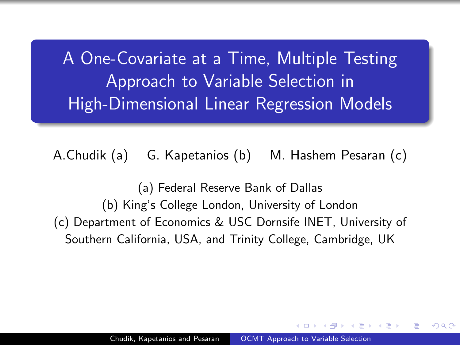<span id="page-0-0"></span>A One-Covariate at a Time, Multiple Testing Approach to Variable Selection in High-Dimensional Linear Regression Models

A.Chudik (a) G. Kapetanios (b) M. Hashem Pesaran (c)

(a) Federal Reserve Bank of Dallas (b) King's College London, University of London (c) Department of Economics & USC Dornsife INET, University of Southern California, USA, and Trinity College, Cambridge, UK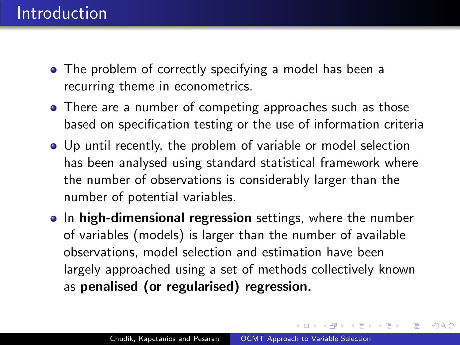- The problem of correctly specifying a model has been a recurring theme in econometrics.
- There are a number of competing approaches such as those based on specification testing or the use of information criteria
- Up until recently, the problem of variable or model selection has been analysed using standard statistical framework where the number of observations is considerably larger than the number of potential variables.
- In high-dimensional regression settings, where the number of variables (models) is larger than the number of available observations, model selection and estimation have been largely approached using a set of methods collectively known as penalised (or regularised) regression.

同→ (ヨ→ (ヨ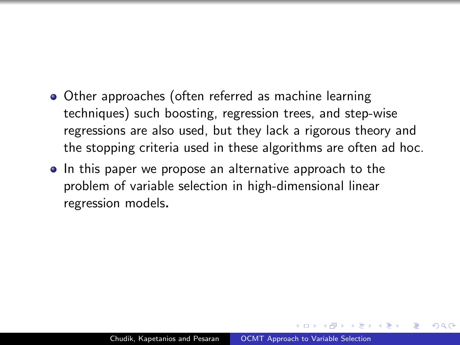- Other approaches (often referred as machine learning techniques) such boosting, regression trees, and step-wise regressions are also used, but they lack a rigorous theory and the stopping criteria used in these algorithms are often ad hoc.
- In this paper we propose an alternative approach to the problem of variable selection in high-dimensional linear regression models.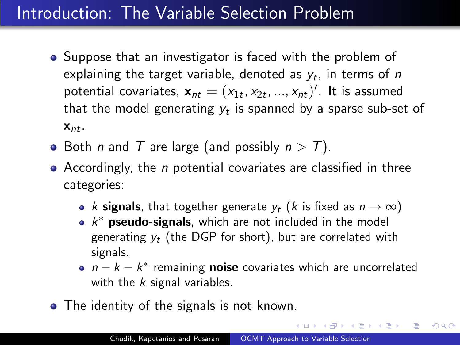# Introduction: The Variable Selection Problem

- Suppose that an investigator is faced with the problem of explaining the target variable, denoted as  $y_t$ , in terms of  $\emph{n}$ potential covariates,  $\mathbf{x}_{nt} = (x_{1t}, x_{2t}, ..., x_{nt})'$ . It is assumed that the model generating  $y_t$  is spanned by a sparse sub-set of  $X_{nt}$ .
- Both *n* and *T* are large (and possibly  $n > T$ ).
- Accordingly, the *n* potential covariates are classified in three categories:
	- k signals, that together generate  $y_t$  (k is fixed as  $n \to \infty$ )
	- $k^*$  pseudo-signals, which are not included in the model generating  $v_t$  (the DGP for short), but are correlated with signals.
	- $n k k^*$  remaining **noise** covariates which are uncorrelated with the  $k$  signal variables.

何 ▶ ヨ ヨ ▶ ヨ ヨ ▶

 $200$ 

• The identity of the signals is not known.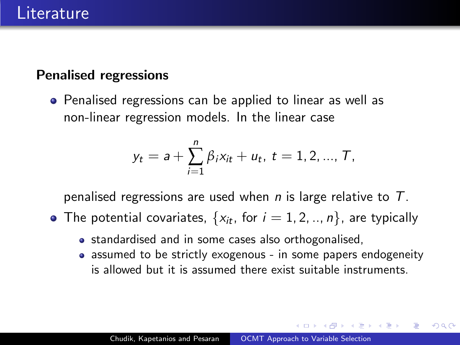### Penalised regressions

• Penalised regressions can be applied to linear as well as non-linear regression models. In the linear case

$$
y_t = a + \sum_{i=1}^n \beta_i x_{it} + u_t, t = 1, 2, ..., T,
$$

penalised regressions are used when  $n$  is large relative to  $T$ .

- The potential covariates,  $\{x_{it}, \text{ for } i = 1, 2, ..., n\}$ , are typically
	- standardised and in some cases also orthogonalised,
	- assumed to be strictly exogenous in some papers endogeneity is allowed but it is assumed there exist suitable instruments.

同 ▶ ヨ ヨ ▶ ヨ ヨ ▶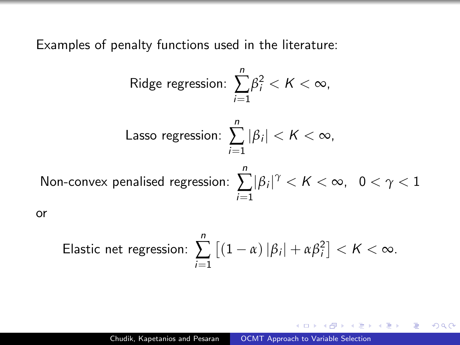Examples of penalty functions used in the literature:

or

Ridge regression: 
$$
\sum_{i=1}^{n} \beta_i^2 < K < \infty,
$$

\nLasso regression: 
$$
\sum_{i=1}^{n} |\beta_i| < K < \infty,
$$

\nNon-convex penalised regression: 
$$
\sum_{i=1}^{n} |\beta_i|^{\gamma} < K < \infty, \quad 0 < \gamma < 1
$$

\nor

Elastic net regression: 
$$
\sum_{i=1}^{n} \left[ (1 - \alpha) |\beta_i| + \alpha \beta_i^2 \right] < K < \infty.
$$

 $4.171$  $\sim$  4母 ト 4回 ト

- 4 国 ド

 $299$ 

э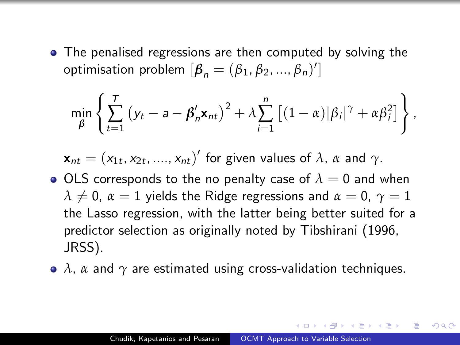• The penalised regressions are then computed by solving the optimisation problem  $[\beta_n = (\beta_1, \beta_2, ..., \beta_n)']$ 

$$
\min_{\beta} \left\{ \sum_{t=1}^{T} \left( y_t - a - \beta'_n \mathbf{x}_{nt} \right)^2 + \lambda \sum_{i=1}^{n} \left[ (1-\alpha) |\beta_i|^{\gamma} + \alpha \beta_i^2 \right] \right\},\
$$

$$
\mathbf{x}_{nt} = (x_{1t}, x_{2t}, \dots, x_{nt})'
$$
 for given values of  $\lambda$ ,  $\alpha$  and  $\gamma$ .

- $\bullet$  OLS corresponds to the no penalty case of  $\lambda = 0$  and when  $\lambda \neq 0$ ,  $\alpha = 1$  yields the Ridge regressions and  $\alpha = 0$ ,  $\gamma = 1$ the Lasso regression, with the latter being better suited for a predictor selection as originally noted by Tibshirani (1996, JRSS).
- *λ*, *α* and *γ* are estimated using cross-validation techniques.

 $\Omega$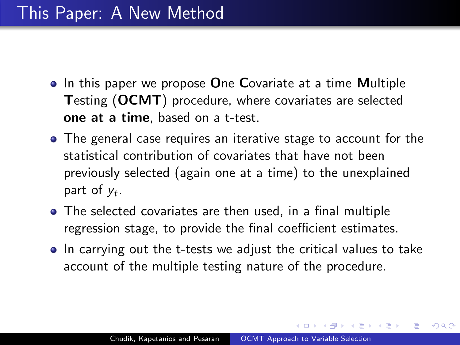- $\bullet$  In this paper we propose One Covariate at a time Multiple Testing (OCMT) procedure, where covariates are selected one at a time, based on a t-test.
- The general case requires an iterative stage to account for the statistical contribution of covariates that have not been previously selected (again one at a time) to the unexplained part of  $y_t$ .
- The selected covariates are then used, in a final multiple regression stage, to provide the final coefficient estimates.
- In carrying out the t-tests we adjust the critical values to take account of the multiple testing nature of the procedure.

A . . 2 . . 2 .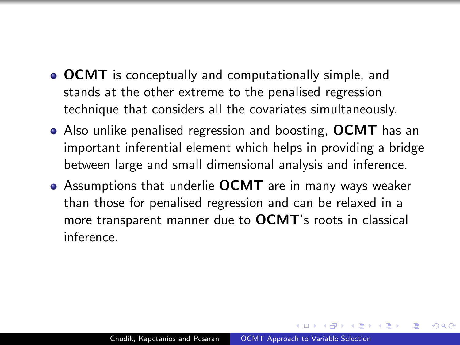- **OCMT** is conceptually and computationally simple, and stands at the other extreme to the penalised regression technique that considers all the covariates simultaneously.
- Also unlike penalised regression and boosting, OCMT has an important inferential element which helps in providing a bridge between large and small dimensional analysis and inference.
- Assumptions that underlie **OCMT** are in many ways weaker than those for penalised regression and can be relaxed in a more transparent manner due to OCMT's roots in classical inference.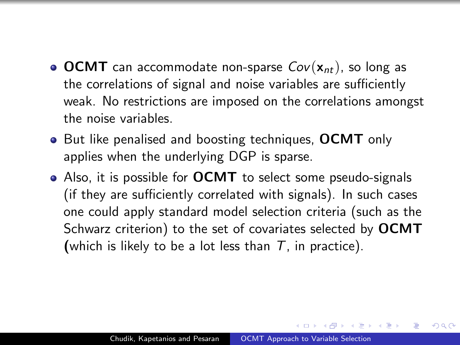- OCMT can accommodate non-sparse  $Cov(\mathbf{x}_{nt})$ , so long as the correlations of signal and noise variables are sufficiently weak. No restrictions are imposed on the correlations amongst the noise variables.
- But like penalised and boosting techniques, OCMT only applies when the underlying DGP is sparse.
- Also, it is possible for **OCMT** to select some pseudo-signals (if they are sufficiently correlated with signals). In such cases one could apply standard model selection criteria (such as the Schwarz criterion) to the set of covariates selected by OCMT (which is likely to be a lot less than  $T$ , in practice).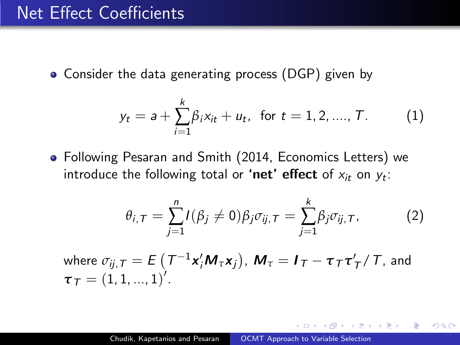• Consider the data generating process (DGP) given by

<span id="page-10-0"></span>
$$
y_t = a + \sum_{i=1}^k \beta_i x_{it} + u_t, \text{ for } t = 1, 2, ..., T.
$$
 (1)

Following Pesaran and Smith (2014, Economics Letters) we introduce the following total or **'net' effect** of  $x_{it}$  on  $y_t$ :

$$
\theta_{i,T} = \sum_{j=1}^{n} I(\beta_j \neq 0) \beta_j \sigma_{ij,T} = \sum_{j=1}^{k} \beta_j \sigma_{ij,T}, \qquad (2)
$$

where 
$$
\sigma_{ij, T} = E(T^{-1}x'_iM_\tau x_j)
$$
,  $M_\tau = I_T - \tau_T\tau'_T/T$ , and  $\tau_T = (1, 1, ..., 1)'$ .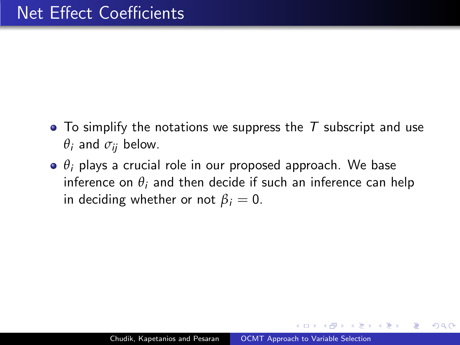- To simplify the notations we suppress the  $T$  subscript and use  $\theta_i$  and  $\sigma_{ii}$  below.
- *θ*<sup>i</sup> plays a crucial role in our proposed approach. We base inference on  $\theta_i$  and then decide if such an inference can help in deciding whether or not  $\beta_i = 0$ .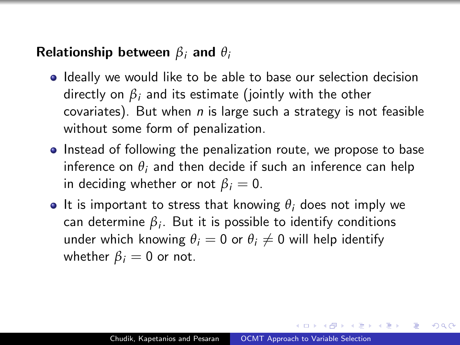## Relationship between *β*<sup>i</sup> and *θ*<sup>i</sup>

- Ideally we would like to be able to base our selection decision directly on  $\beta_i$  and its estimate (jointly with the other covariates). But when  $n$  is large such a strategy is not feasible without some form of penalization.
- Instead of following the penalization route, we propose to base inference on  $\theta_i$  and then decide if such an inference can help in deciding whether or not  $\beta_i = 0$ .
- **•** It is important to stress that knowing  $\theta_i$  does not imply we  $\mathsf{can}$  determine  $\beta_i.$  But it is possible to identify conditions under which knowing  $\theta_i = 0$  or  $\theta_i \neq 0$  will help identify whether  $\beta_i = 0$  or not.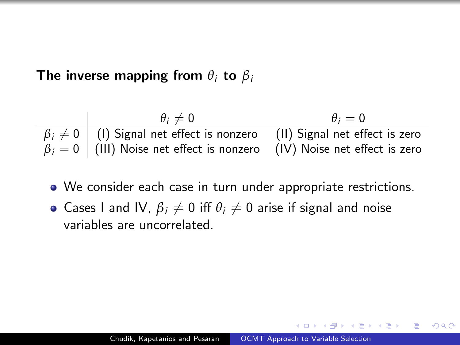The inverse mapping from  $\theta_i$  to  $\beta_i$ 

| $\theta_i \neq 0$ | $\theta_i = 0$                    |                                |
|-------------------|-----------------------------------|--------------------------------|
| $\beta_i \neq 0$  | (I) Signal net effect is nonzero  | (II) Signal net effect is zero |
| $\beta_i = 0$     | (III) Noise net effect is nonzero | (IV) Noise net effect is zero  |

- We consider each case in turn under appropriate restrictions.
- Cases I and IV,  $\beta_i \neq 0$  iff  $\theta_i \neq 0$  arise if signal and noise variables are uncorrelated.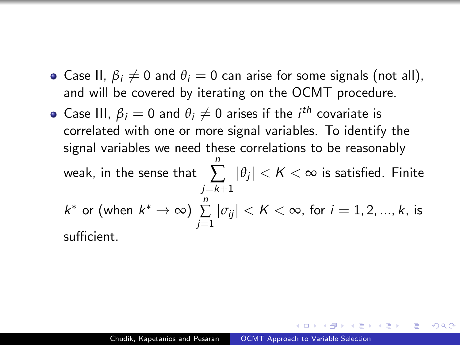- Case II,  $\beta_i \neq 0$  and  $\theta_i = 0$  can arise for some signals (not all), and will be covered by iterating on the OCMT procedure.
- Case III,  $\beta_i = 0$  and  $\theta_i \neq 0$  arises if the  $i^{th}$  covariate is correlated with one or more signal variables. To identify the signal variables we need these correlations to be reasonably weak, in the sense that n  $\sum_{j} |\theta_j| < K < \infty$  is satisfied. Finite  $j = k+1$  $k^*$  or (when  $k^* \to \infty$ )  $\sum_{ }^n$  $\sum\limits_{j=1}|\sigma_{ij}|< K<\infty$ , for  $i=1,2,...,k$ , is sufficient.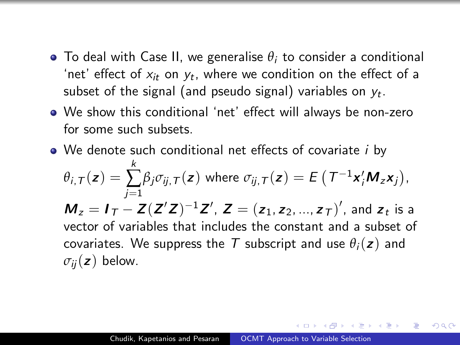- $\bullet$  To deal with Case II, we generalise  $\theta_i$  to consider a conditional 'net' effect of  $x_{it}$  on  $y_t$ , where we condition on the effect of a subset of the signal (and pseudo signal) variables on  $y_t.$
- We show this conditional 'net' effect will always be non-zero for some such subsets.
- We denote such conditional net effects of covariate *i* by  $\theta$ <sub>i,T</sub> $(z)$  = k  $\sum_{j=1}$  $\beta_j \sigma_{ij, \mathcal{T}}(\boldsymbol{z})$  where  $\sigma_{ij, \mathcal{T}}(\boldsymbol{z}) = E\left(\mathcal{T}^{-1} \boldsymbol{x}_i' \boldsymbol{M}_z \boldsymbol{x}_j\right)$ ,  $M_z = I_T - Z(Z'Z)^{-1}Z'$ ,  $Z = (z_1, z_2, ..., z_T)'$ , and  $z_t$  is a vector of variables that includes the constant and a subset of covariates. We suppress the T subscript and use  $\theta_i(z)$  and  $\sigma_{ii}(\mathbf{z})$  below.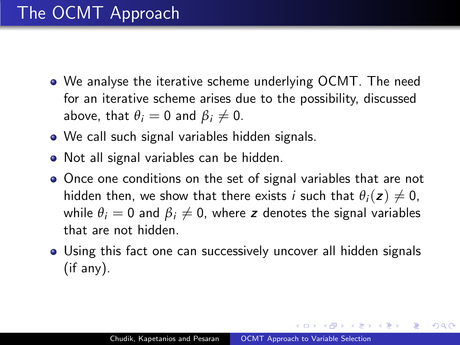- We analyse the iterative scheme underlying OCMT. The need for an iterative scheme arises due to the possibility, discussed above, that  $\theta_i = 0$  and  $\beta_i \neq 0$ .
- We call such signal variables hidden signals.
- Not all signal variables can be hidden.
- Once one conditions on the set of signal variables that are not hidden then, we show that there exists *i* such that  $\theta_i(z) \neq 0$ , while  $\theta_i = 0$  and  $\beta_i \neq 0$ , where z denotes the signal variables that are not hidden.
- Using this fact one can successively uncover all hidden signals (if any).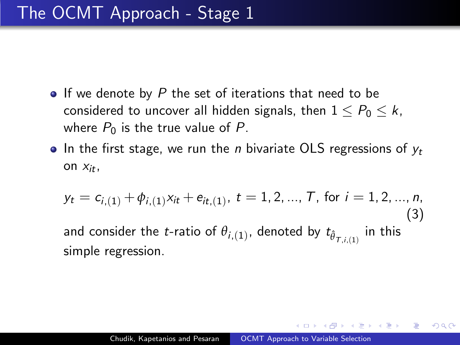- $\bullet$  If we denote by P the set of iterations that need to be considered to uncover all hidden signals, then  $1 \leq P_0 \leq k$ , where  $P_0$  is the true value of P.
- $\bullet$  In the first stage, we run the *n* bivariate OLS regressions of  $y_t$ on  $X_{it}$ ,

$$
y_t = c_{i,(1)} + \phi_{i,(1)} x_{it} + e_{it,(1)}, \ t = 1, 2, ..., T, \text{ for } i = 1, 2, ..., n,
$$
\n(3)\nand consider the *t*-ratio of  $\theta_{i,(1)}$ , denoted by  $t_{\hat{\theta}_{T,i,(1)}}$  in this simple regression.

 $200$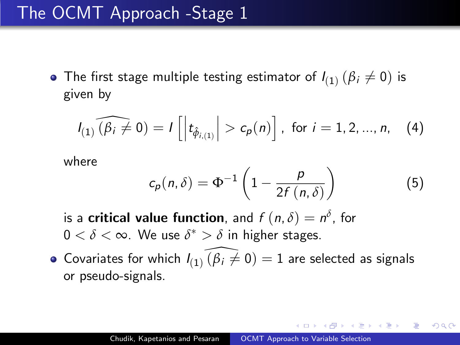## The OCMT Approach -Stage 1

The first stage multiple testing estimator of  $I_{(1)}\left(\beta_i\neq 0\right)$  is given by

$$
I_{(1)}(\widehat{\beta_i \neq 0}) = I\left[\left|t_{\hat{\phi}_{i,(1)}}\right| > c_p(n)\right], \text{ for } i = 1, 2, ..., n, (4)
$$

where

$$
c_p(n,\delta) = \Phi^{-1}\left(1 - \frac{p}{2f(n,\delta)}\right) \tag{5}
$$

<span id="page-18-0"></span>つくへ

is a **critical value function**, and  $f(n, \delta) = n^{\delta}$ , for  $0 < \delta < \infty$ . We use  $\delta^* > \delta$  in higher stages.

Covariates for which  $I_{(1)}$   $\widehat{(\beta_i \neq 0)} = 1$  are selected as signals or pseudo-signals.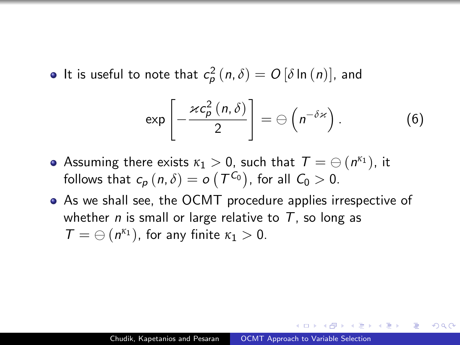It is useful to note that  $c_p^2(n,\delta) = O[\delta \ln(n)]$ , and

$$
\exp\left[-\frac{\varkappa c_{p}^{2}\left(n,\delta\right)}{2}\right]=\ominus\left(n^{-\delta\varkappa}\right).
$$
 (6)

- Assuming there exists  $\kappa_1 > 0$ , such that  $\mathcal{T} = \ominus \left( \mathsf{n}^{\kappa_1} \right)$ , it follows that  $c_p(n,\delta) = o\left(T^{C_0}\right)$ , for all  $C_0 > 0$ .
- As we shall see, the OCMT procedure applies irrespective of whether *n* is small or large relative to  $T$ , so long as  $T = \bigoplus (n^{\kappa_1})$ , for any finite  $\kappa_1 > 0$ .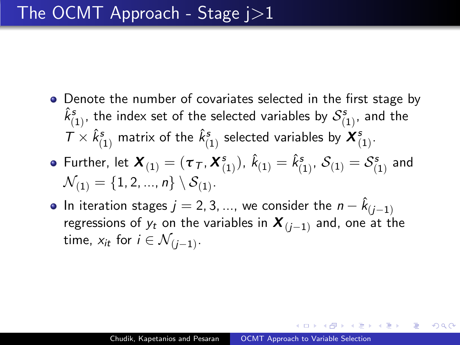• Denote the number of covariates selected in the first stage by  $\hat{k}_{(1)}^s$ , the index set of the selected variables by  $\mathcal{S}_{(1)}^s$ , and the  $T\times \hat k_{(1)}^s$  matrix of the  $\hat k_{(1)}^s$  selected variables by  ${\boldsymbol X}_{(1)}^s.$ 

• Further, let 
$$
\mathbf{X}_{(1)} = (\tau_T, \mathbf{X}_{(1)}^s)
$$
,  $\hat{k}_{(1)} = \hat{k}_{(1)}^s$ ,  $S_{(1)} = S_{(1)}^s$  and  $\mathcal{N}_{(1)} = \{1, 2, ..., n\} \setminus S_{(1)}$ .

In iteration stages  $j=2,3,...,$  we consider the  $n-\hat{k}_{(j-1)}$ regressions of  $y_t$  on the variables in  $\boldsymbol{X}_{(i-1)}$  and, one at the time,  $x_{it}$  for  $i \in \mathcal{N}_{(j-1)}$ .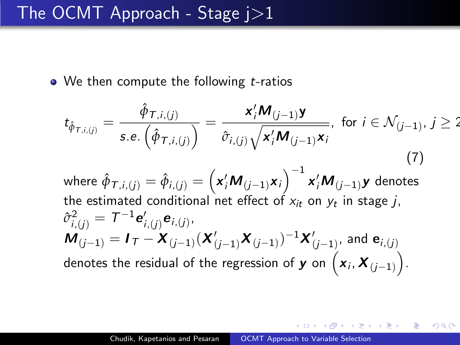$\bullet$  We then compute the following  $t$ -ratios

$$
t_{\hat{\phi}_{\mathcal{T},i,(j)}} = \frac{\hat{\phi}_{\mathcal{T},i,(j)}}{s.e.(\hat{\phi}_{\mathcal{T},i,(j)})} = \frac{\mathbf{x}_i'\mathbf{M}_{(j-1)}\mathbf{y}}{\hat{\sigma}_{i,(j)}\sqrt{\mathbf{x}_i'\mathbf{M}_{(j-1)}\mathbf{x}_i}}, \text{ for } i \in \mathcal{N}_{(j-1)}, j \ge 2
$$
\nwhere  $\hat{\phi}_{\mathcal{T},i,(j)} = \hat{\phi}_{i,(j)} = (\mathbf{x}_i'\mathbf{M}_{(j-1)}\mathbf{x}_i)^{-1}\mathbf{x}_i'\mathbf{M}_{(j-1)}\mathbf{y}$  denotes the estimated conditional net effect of  $x_{it}$  on  $y_t$  in stage  $j$ ,  
\n $\hat{\sigma}_{i,(j)}^2 = \mathcal{T}^{-1}\mathbf{e}_{i,(j)}'\mathbf{e}_{i,(j)},$   
\n $\mathbf{M}_{(j-1)} = \mathbf{I}_{\mathcal{T}} - \mathbf{X}_{(j-1)}(\mathbf{X}_{(j-1)}'\mathbf{X}_{(j-1)})^{-1}\mathbf{X}_{(j-1)}'$ , and  $\mathbf{e}_{i,(j)}$   
\ndenotes the residual of the regression of  $\mathbf{y}$  on  $(\mathbf{x}_i, \mathbf{X}_{(j-1)})$ .

 $299$ 

一本 重 下

**SIL** 

一 4 三 下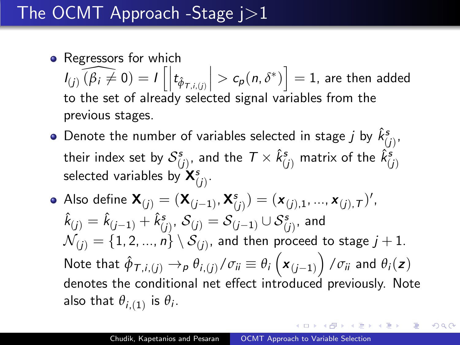## • Regressors for which

 $I_{(j)}(\widehat{\beta_i \neq 0}) = I\left[\left| t_{\hat{\phi}_{\tau,i,(j)}}\right|\right]$ to the set of already selected signal variables from the  $\left( > c_p(n, \delta^*) \right] = 1$ , are then added previous stages.

- Denote the number of variables selected in stage  $j$  by  $\hat k_{(j)}^s,$ their index set by  $\mathcal{S}^s_{(j)},$  and the  $\mathcal{T}\times \hat{k}_{(j)}^s$  matrix of the  $\hat{k}_{(j)}^s$ selected variables by  $\mathsf{X}^s_{(j)}.$
- Also define  $\mathbf{X}_{(j)}=(\mathbf{X}_{(j-1)},\mathbf{X}^{s}_{(j)})=(\mathbf{x}_{(j),1},...,\mathbf{x}_{(j),\mathcal{T}})'$  ,  $\hat k_{(j)} = \hat k_{(j-1)} + \hat k_{(j)}^s, \, {\mathcal S}_{(j)} = {\mathcal S}_{(j-1)} \cup {\mathcal S}_{(j)}^s, \,$  and  $\mathcal{N}_{(j)} = \{1,2,...,n\} \setminus \mathcal{S}_{(j)},$  and then proceed to stage  $j+1.$ Note that  $\hat{\phi}_{\mathcal{T},i,(j)} \to_{\rho} \theta_{i,(j)}/\sigma_{ii} \equiv \theta_i\left(\bm{x}_{(j-1)}\right)/\sigma_{ii}$  and  $\theta_i(\bm{z})$ denotes the conditional net effect introduced previously. Note also that  $\theta_{i,(1)}$  is  $\theta_i$ .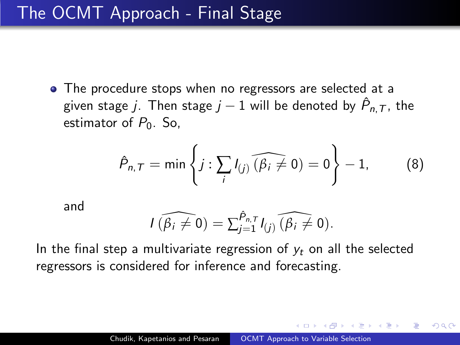## The OCMT Approach - Final Stage

• The procedure stops when no regressors are selected at a given stage  $j$ . Then stage  $j-1$  will be denoted by  $\hat{\mathsf{P}}_{n,\mathcal{T}}$ , the estimator of  $P_0$ . So,

$$
\hat{P}_{n,T} = \min\left\{j : \sum_{i} I_{(j)} \widehat{(\beta_i \neq 0)} = 0\right\} - 1, \quad (8)
$$

<span id="page-23-0"></span>つくへ

and

$$
I(\widehat{\beta_i \neq 0}) = \sum_{j=1}^{\hat{P}_{n,T}} I_{(j)}(\widehat{\beta_i \neq 0}).
$$

In the final step a multivariate regression of  $y_t$  on all the selected regressors is considered for inference and forecasting.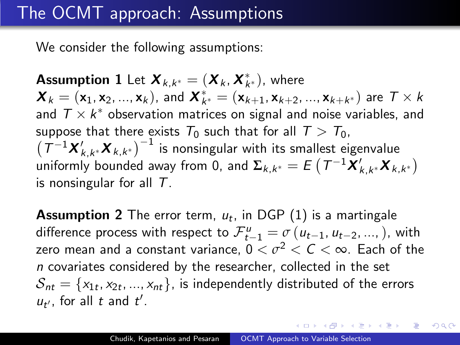## The OCMT approach: Assumptions

We consider the following assumptions:

**Assumption 1** Let  $\boldsymbol{X}_{k,k^*} = (\boldsymbol{X}_k, \boldsymbol{X}^*_{k^*})$ , where  $\boldsymbol{X}_k=(\mathsf{x}_1,\mathsf{x}_2,...,\mathsf{x}_k),$  and  $\boldsymbol{X}^*_{k^*}=(\mathsf{x}_{k+1},\mathsf{x}_{k+2},...,\mathsf{x}_{k+k^*})$  are  $T\times k$ and  $T \times k^*$  observation matrices on signal and noise variables, and suppose that there exists  $T_0$  such that for all  $T > T_0$ ,  $\left( T^{-1} \mathbf{X}_{k,k^*}' \mathbf{X}_{k,k^*} \right)^{-1}$  is nonsingular with its smallest eigenvalue  $\hat{\bm{\mu}}$ uniformly bounded away from 0, and  $\bm{\Sigma}_{k,k^*} = E\left(\bm{\mathcal{T}}^{-1}\bm{X}_{k,k^*}'\bm{X}_{k,k^*}\right)$ is nonsingular for all  $T$ .

**Assumption 2** The error term,  $u_t$ , in DGP  $(1)$  is a martingale difference process with respect to  $\mathcal{F}_{t-1}^{\mu} = \sigma(u_{t-1}, u_{t-2}, \ldots, u_{t-1})$ , with zero mean and a constant variance,  $0<\sigma^2<\mathsf{C}<\infty$ . Each of the n covariates considered by the researcher, collected in the set  $\mathcal{S}_{\textit{nt}} = \{\mathsf{x}_{1t}, \mathsf{x}_{2t}, ..., \mathsf{x}_{\textit{nt}}\}$ , is independently distributed of the errors  $u_{t}$ , for all t and  $t'$ .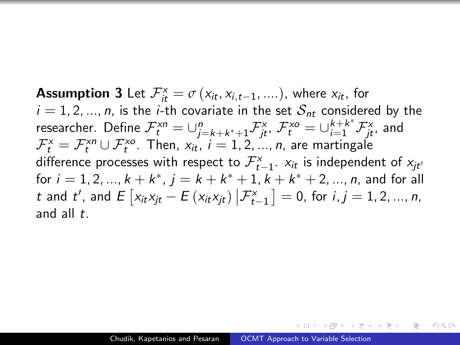**Assumption 3** Let  $\mathcal{F}_{it}^{\times} = \sigma(x_{it}, x_{i,t-1}, ....)$ , where  $x_{it}$ , for  $i = 1, 2, ..., n$ , is the *i*-th covariate in the set  $S_{nt}$  considered by the researcher. Define  $\mathcal{F}_t^{xn} = \cup_{j=k+k^*+1}^n \mathcal{F}_{jt}^x$ ,  $\mathcal{F}_t^{xo} = \cup_{i=1}^{k+k^*} \mathcal{F}_{jt}^x$ , and  ${\mathcal F}^{\scriptscriptstyle X}_t={\mathcal F}^{\scriptscriptstyle Xn}_t\cup {\mathcal F}^{\scriptscriptstyle Xo}_t$ . Then,  $x_{it},\ i=1,2,...,n$ , are martingale difference processes with respect to  $\mathcal{F}_{t-1}^{\mathsf{x}}$ .  $\mathsf{x}_{it}$  is independent of  $\mathsf{x}_{jt'}$ for  $i = 1, 2, ..., k + k^*$ ,  $j = k + k^* + 1$ ,  $k + k^* + 2, ..., n$ , and for all t and t', and  $E[x_{it}x_{jt} - E(x_{it}x_{jt}) | \mathcal{F}_{t-1}^x] = 0$ , for  $i, j = 1, 2, ..., n$ , and all  $t$ .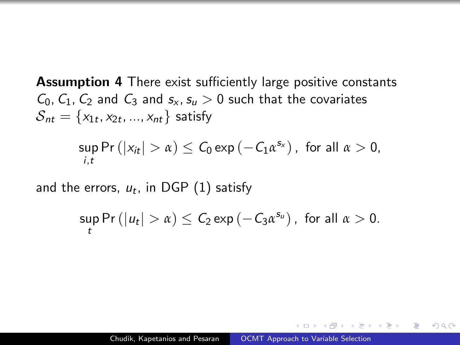Assumption 4 There exist sufficiently large positive constants  $C_0$ ,  $C_1$ ,  $C_2$  and  $C_3$  and  $s_x$ ,  $s_y > 0$  such that the covariates  ${\mathcal S}_{nt} = \{ {\mathsf x}_{1t}, {\mathsf x}_{2t}, ..., {\mathsf x}_{nt} \}$  satisfy

$$
\sup_{i,t} \Pr\left(|x_{it}| > \alpha\right) \leq C_0 \exp\left(-C_1 \alpha^{s_x}\right), \text{ for all } \alpha > 0,
$$

and the errors,  $u_t$ , in DGP  $(1)$  satisfy

$$
\sup_t \Pr\left(|u_t| > \alpha\right) \leq C_2 \exp\left(-C_3 \alpha^{s_u}\right), \text{ for all } \alpha > 0.
$$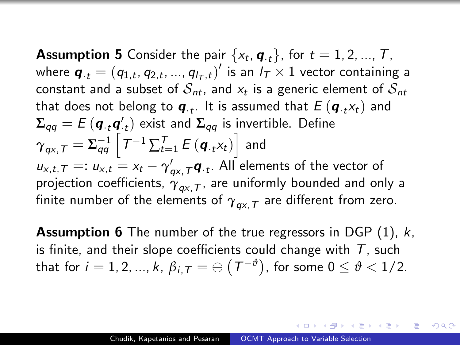**Assumption 5** Consider the pair  $\{x_t, \boldsymbol{q}_{\cdot t}\}$ , for  $t = 1, 2, ..., T$ , where  $\boldsymbol{q}_{\cdot t} = (q_{1,t}, q_{2,t}, ..., q_{l_T,t})'$  is an  $l_T \times 1$  vector containing a constant and a subset of  $\mathcal{S}_{nt}$ , and  $\mathsf{x}_t$  is a generic element of  $\mathcal{S}_{nt}$ that does not belong to  $\boldsymbol{q}_{\cdot t}$ . It is assumed that  $E\left(\boldsymbol{q}_{\cdot t} \mathsf{x}_t\right)$  and  $\boldsymbol{\Sigma}_{qq} = E\left(\boldsymbol{q}_{\cdot t} \boldsymbol{q}_{\cdot t}' \right)$  exist and  $\boldsymbol{\Sigma}_{qq}$  is invertible. Define  ${{\gamma}}_{\mathit{qx},\mathit{T}}=\Sigma_{\mathit{qq}}^{-1}\left[\mathit{T}^{-1}\sum_{t=1}^{\mathit{T}}E\left(\mathit{\boldsymbol{q}}_{\cdot t}\mathit{x}_{t}\right)\right]$  and  $u_{x,t,T} =: u_{x,t} = x_t - \gamma'_{qx,T} \boldsymbol{q}_{\cdot t}$ . All elements of the vector of projection coefficients,  ${\gamma}_{\mathit{qx},\mathit{T}}$ , are uniformly bounded and only a finite number of the elements of  $\gamma_{\mathit{qx},\mathcal{T}}$  are different from zero.

Assumption 6 The number of the true regressors in DGP [\(1\)](#page-10-0), k, is finite, and their slope coefficients could change with  $T$ , such that for  $i=1,2,...,k,$   $\beta_{i,\mathcal{T}}=\ominus\left( \mathcal{T}^{-\vartheta}\right)$ , for some  $0\leq\vartheta< 1/2.$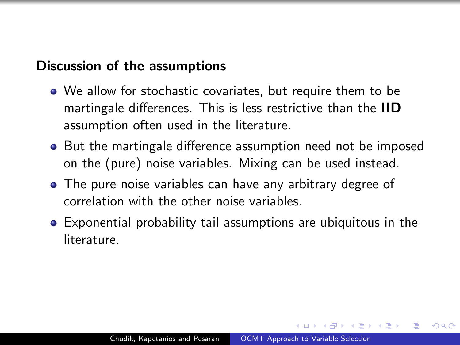## Discussion of the assumptions

- We allow for stochastic covariates, but require them to be martingale differences. This is less restrictive than the IID assumption often used in the literature.
- But the martingale difference assumption need not be imposed on the (pure) noise variables. Mixing can be used instead.
- The pure noise variables can have any arbitrary degree of correlation with the other noise variables.
- Exponential probability tail assumptions are ubiquitous in the literature.

 $\Omega$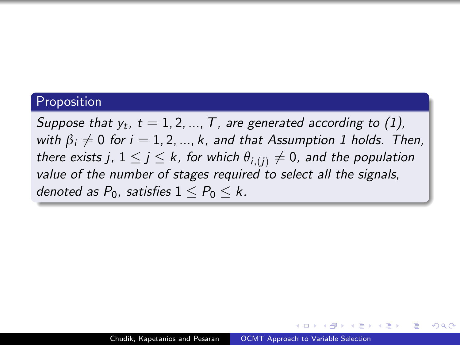#### Proposition

Suppose that  $y_t$ ,  $t = 1, 2, ..., T$ , are generated according to [\(1\)](#page-10-0), with  $\beta_i \neq 0$  for  $i = 1, 2, ..., k$ , and that Assumption 1 holds. Then, there exists j,  $1 \le j \le k$ , for which  $\theta_{i,(i)} \neq 0$ , and the population value of the number of stages required to select all the signals, denoted as  $P_0$ , satisfies  $1 \leq P_0 \leq k$ .

 $200$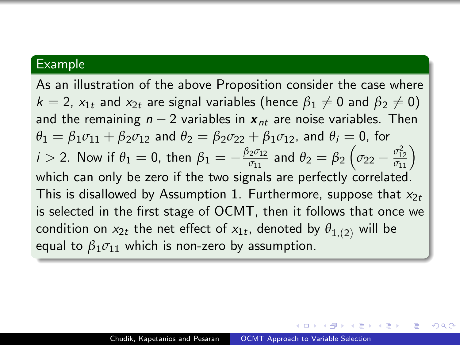### Example

As an illustration of the above Proposition consider the case where  $k = 2$ ,  $x_{1t}$  and  $x_{2t}$  are signal variables (hence  $\beta_1 \neq 0$  and  $\beta_2 \neq 0$ ) and the remaining  $n-2$  variables in  $x_{nt}$  are noise variables. Then  $\theta_1 = \beta_1 \sigma_{11} + \beta_2 \sigma_{12}$  and  $\theta_2 = \beta_2 \sigma_{22} + \beta_1 \sigma_{12}$ , and  $\theta_i = 0$ , for  $i >$  2. Now if  $\theta_1 = 0$ , then  $\beta_1 = -\frac{\beta_2 \sigma_{12}}{\sigma_{11}}$  $\frac{2^{\sigma_{12}}}{\sigma_{11}}$  and  $\theta_2 = \beta_2 \left(\sigma_{22} - \frac{\sigma_{12}^2}{\sigma_{11}}\right)$ which can only be zero if the two signals are perfectly correlated. This is disallowed by Assumption 1. Furthermore, suppose that  $x_{2t}$ is selected in the first stage of OCMT, then it follows that once we condition on  $\mathsf{x}_{2t}$  the net effect of  $\mathsf{x}_{1t}$ , denoted by  $\theta_{1,(2)}$  will be equal to  $\beta_1 \sigma_{11}$  which is non-zero by assumption.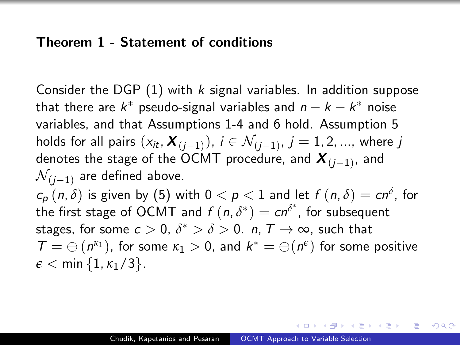#### Theorem 1 - Statement of conditions

Consider the DGP  $(1)$  with k signal variables. In addition suppose that there are  $k^*$  pseudo-signal variables and  $n - k - k^*$  noise variables, and that Assumptions 1-4 and 6 hold. Assumption 5 holds for all pairs  $(x_{it}, \bm{X}_{(j-1)}),\ i\in \mathcal{N}_{(j-1)},\ j=1,2,...,$  where  $j$ denotes the stage of the OCMT procedure, and  $\boldsymbol{X}_{(j-1)}$ , and  $\mathcal{N}_{(i-1)}$  are defined above.

 $c_{\boldsymbol{\rho}}\,(\,n,\delta)$  is given by  $(5)$  with  $0 < \boldsymbol{\rho} < 1$  and let  $f\,(\,n,\delta) = c n^{\delta}$ , for the first stage of OCMT and  $f(n, \delta^*) = cn^{\delta^*}$ , for subsequent stages, for some  $c > 0$ ,  $\delta^* > \delta > 0$ . *n*,  $\mathcal{T} \to \infty$ , such that  $\mathcal{T} = \ominus\left(n^{\kappa_1}\right)$ , for some  $\kappa_1 > 0$ , and  $k^* = \ominus(n^{\epsilon})$  for some positive  $\epsilon$  < min {1,  $\kappa$ <sub>1</sub>/3}.

 $\Omega$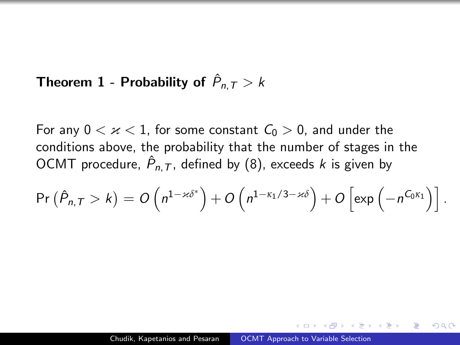## Theorem  $1$  - Probability of  $\hat{P}_{n,\mathcal{T}} > k$

For any  $0 < \varkappa < 1$ , for some constant  $C_0 > 0$ , and under the conditions above, the probability that the number of stages in the OCMT procedure,  $\hat{P}_{n,\mathcal{T}}$ , defined by [\(8\)](#page-23-0), exceeds  $k$  is given by

$$
\Pr\left(\hat{P}_{n,T} > k\right) = O\left(n^{1-\varkappa\delta^*}\right) + O\left(n^{1-\kappa_1/3-\varkappa\delta}\right) + O\left[\exp\left(-n^{C_0\kappa_1}\right)\right].
$$

 $\Omega$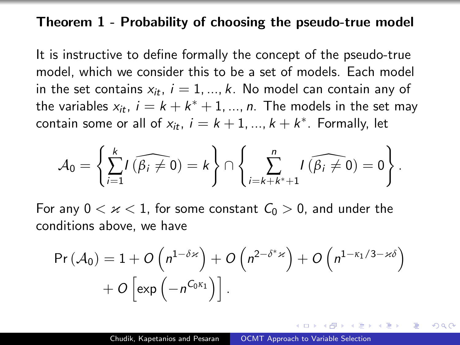#### Theorem 1 - Probability of choosing the pseudo-true model

It is instructive to define formally the concept of the pseudo-true model, which we consider this to be a set of models. Each model in the set contains  $x_{it}$ ,  $i = 1, ..., k$ . No model can contain any of the variables  $x_{it}$ ,  $i = k + k^* + 1, ..., n$ . The models in the set may contain some or all of  $x_{it}$ ,  $i = k + 1, ..., k + k^*$ . Formally, let

$$
\mathcal{A}_0 = \left\{ \sum_{i=1}^k I(\widehat{\beta_i \neq 0}) = k \right\} \cap \left\{ \sum_{i=k+k^*+1}^n I(\widehat{\beta_i \neq 0}) = 0 \right\}.
$$

For any  $0 < \varkappa < 1$ , for some constant  $C_0 > 0$ , and under the conditions above, we have

$$
Pr(A_0) = 1 + O\left(n^{1-\delta \times}\right) + O\left(n^{2-\delta^* \times}\right) + O\left(n^{1-\kappa_1/3-\kappa\delta}\right) + O\left(\exp\left(-n^{C_0 \kappa_1}\right)\right].
$$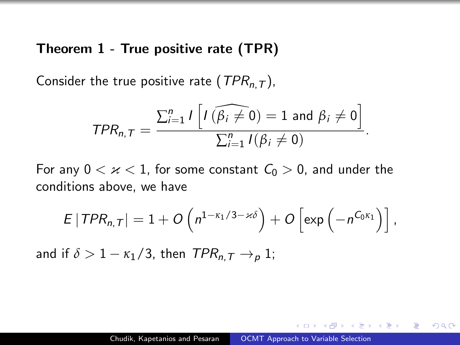#### Theorem 1 - True positive rate (TPR)

Consider the true positive rate ( $TPR_{n,T}$ ),

$$
TPR_{n,T} = \frac{\sum_{i=1}^{n} I\left[I\left(\widehat{\beta_i \neq 0}\right) = 1 \text{ and } \beta_i \neq 0\right]}{\sum_{i=1}^{n} I(\beta_i \neq 0)}
$$

.

つくへ

For any  $0 < \varkappa < 1$ , for some constant  $C_0 > 0$ , and under the conditions above, we have

$$
E | TPR_{n,T} | = 1 + O\left(n^{1-\kappa_1/3 - \varkappa \delta}\right) + O\left[\exp\left(-n^{C_0 \kappa_1}\right)\right],
$$

and if  $\delta > 1 - \kappa_1/3$ , then  $TPR_n \to p 1$ ;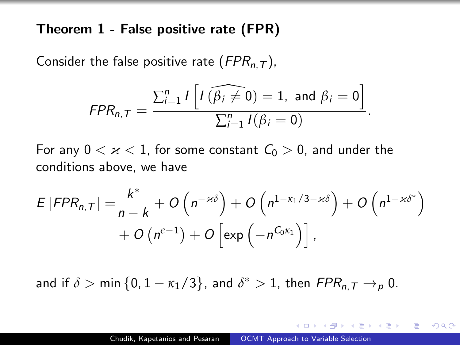Theorem 1 - False positive rate (FPR)

Consider the false positive rate  $(FPR_{n,T})$ ,

$$
FPR_{n,T} = \frac{\sum_{i=1}^{n} I\left[I\left(\widehat{\beta_{i} \neq 0}\right) = 1, \text{ and } \beta_{i} = 0\right]}{\sum_{i=1}^{n} I(\beta_{i} = 0)}.
$$

For any  $0 < \varkappa < 1$ , for some constant  $C_0 > 0$ , and under the conditions above, we have

$$
E | FPR_{n,T}| = \frac{k^*}{n-k} + O\left(n^{-\varkappa\delta}\right) + O\left(n^{1-\kappa_1/3-\varkappa\delta}\right) + O\left(n^{1-\varkappa\delta^*}\right) + O\left(n^{\varepsilon-1}\right) + O\left(e^{-1}\right) + O\left[e^{-\alpha\delta}\right],
$$

and if  $\delta > \min\{0, 1 - \kappa_1/3\}$ , and  $\delta^* > 1$ , then  $FPR_{n, T} \to_p 0$ .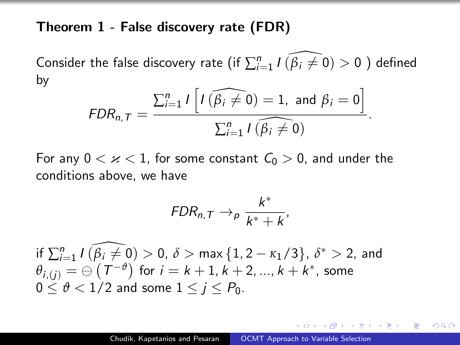#### Theorem 1 - False discovery rate (FDR)

Consider the false discovery rate (if  $\sum_{i=1}^{n} I(\widehat{\beta_i \neq 0}) > 0$  ) defined by

$$
FDR_{n,T} = \frac{\sum_{i=1}^{n} I\left[I\left(\widehat{\beta_{i} \neq 0}\right) = 1, \text{ and } \beta_{i} = 0\right]}{\sum_{i=1}^{n} I\left(\widehat{\beta_{i} \neq 0}\right)}.
$$

For any  $0 < x < 1$ , for some constant  $C_0 > 0$ , and under the conditions above, we have

$$
FDR_{n,T} \rightarrow_{p} \frac{k^*}{k^*+k},
$$

if  $\sum_{i=1}^n I(\widehat{\beta_i \neq 0}) > 0$ ,  $\delta > \max\left\{1, 2 - \kappa_1/3 \right\}$ ,  $\delta^* > 2$ , and  $\theta_{i,(j)} = \ominus \left( \mathcal{T}^{-\vartheta} \right)$  for  $i = k+1, k+2, ..., k+k^*$ , some  $0 \leq \vartheta < 1/2$  and some  $1 \leq i \leq P_0$ .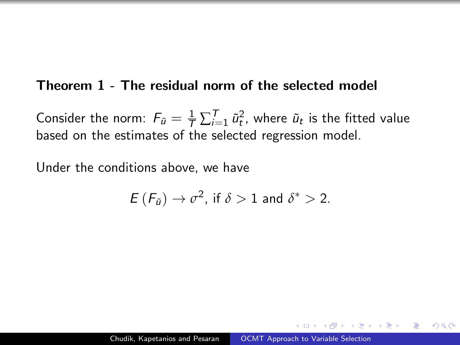#### Theorem 1 - The residual norm of the selected model

Consider the norm:  $F_{\tilde{u}} = \frac{1}{\mathcal{T}} \sum_{i=1}^T \tilde{u}_t^2$ , where  $\tilde{u}_t$  is the fitted value based on the estimates of the selected regression model.

Under the conditions above, we have

$$
E(F_{\tilde{u}}) \to \sigma^2, \text{ if } \delta > 1 \text{ and } \delta^* > 2.
$$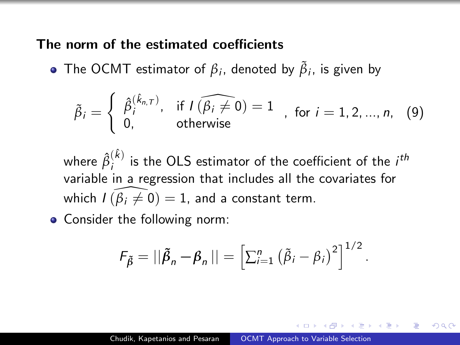The norm of the estimated coefficients

The OCMT estimator of  $\beta_i$ , denoted by  $\tilde{\beta}_i$ , is given by

$$
\tilde{\beta}_i = \left\{ \begin{array}{ll} \hat{\beta}_i^{(\hat{k}_{n,T})}, & \text{if } I(\widehat{\beta_i \neq 0}) = 1 \\ 0, & \text{otherwise} \end{array} \right., \text{ for } i = 1, 2, ..., n, (9)
$$

where  $\hat{\beta}_i^{(\hat{k})}$  $i^{(k)}$  is the OLS estimator of the coefficient of the  $i^{th}$ variable in a regression that includes all the covariates for which  $I(\beta_i \neq 0) = 1$ , and a constant term.

• Consider the following norm:

$$
F_{\tilde{\beta}} = ||\tilde{\beta}_n - \beta_n|| = \left[\sum_{i=1}^n (\tilde{\beta}_i - \beta_i)^2\right]^{1/2}.
$$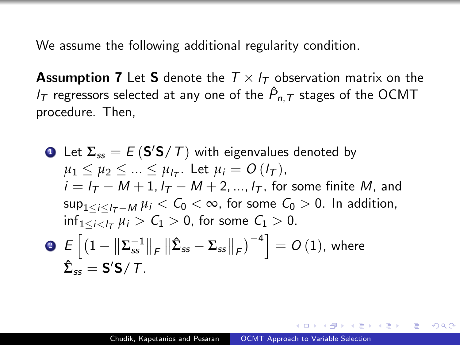We assume the following additional regularity condition.

**Assumption 7** Let **S** denote the  $T \times I_T$  observation matrix on the  $I_\mathcal{T}$  regressors selected at any one of the  $\hat P_{n,\mathcal{T}}$  stages of the OCMT procedure. Then,

\n- \n**1** Let 
$$
\Sigma_{ss} = E(S'S/T)
$$
 with eigenvalues denoted by  $\mu_1 \leq \mu_2 \leq \ldots \leq \mu_{l\tau}$ . Let  $\mu_i = O(l\tau)$ ,  $i = l\tau - M + 1$ ,  $l\tau - M + 2$ , ...,  $l\tau$ , for some finite  $M$ , and  $\sup_{1 \leq i \leq l\tau - M} \mu_i < C_0 < \infty$ , for some  $C_0 > 0$ . In addition,  $\inf_{1 \leq i < l\tau} \mu_i > C_1 > 0$ , for some  $C_1 > 0$ .\n
\n- \n**2**  $E\left[\left(1 - \left\|\Sigma_{ss}^{-1}\right\|_{F}\right\|\hat{\Sigma}_{ss} - \Sigma_{ss}\right\|_{F}\right)^{-4}\right] = O(1)$ , where  $\hat{\Sigma}_{ss} = S'S/T$ .\n
\n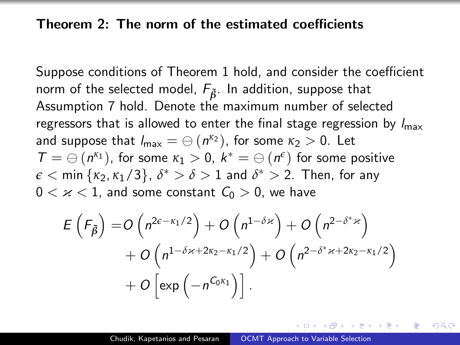#### Theorem 2: The norm of the estimated coefficients

Suppose conditions of Theorem 1 hold, and consider the coefficient norm of the selected model,  $F_{\tilde{B}}$ . In addition, suppose that Assumption 7 hold. Denote the maximum number of selected regressors that is allowed to enter the final stage regression by  $I_{\text{max}}$ and suppose that  $l_{\sf max} = \ominus \left( n^{\kappa_2} \right)$ , for some  $\kappa_2 > 0$ . Let  $\mathcal{T} = \ominus \left( n^{\kappa_1} \right)$ , for some  $\kappa_1 > 0$ ,  $k^* = \ominus \left( n^{\epsilon} \right)$  for some positive  $\epsilon < \min{\{\kappa_2,\kappa_1/3\}}$ ,  $\delta^* > \delta > 1$  and  $\delta^* > 2$ . Then, for any  $0 < \varkappa < 1$ , and some constant  $C_0 > 0$ , we have

$$
E\left(F_{\tilde{\beta}}\right) = O\left(n^{2\varepsilon - \kappa_1/2}\right) + O\left(n^{1-\delta\varkappa}\right) + O\left(n^{2-\delta^*\varkappa}\right) + O\left(n^{1-\delta\varkappa + 2\kappa_2 - \kappa_1/2}\right) + O\left(n^{2-\delta^*\varkappa + 2\kappa_2 - \kappa_1/2}\right) + O\left[\exp\left(-n^{C_0\kappa_1}\right)\right].
$$

 $\Omega$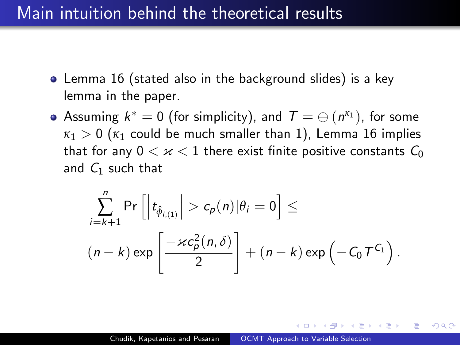## Main intuition behind the theoretical results

- Lemma 16 (stated also in the background slides) is a key lemma in the paper.
- Assuming  $k^* = 0$  (for simplicity), and  $\mathcal{T} = \ominus (n^{\kappa_1})$ , for some  $\kappa_1 > 0$  ( $\kappa_1$  could be much smaller than 1), Lemma 16 implies that for any  $0 < \varkappa < 1$  there exist finite positive constants  $C_0$ and  $C_1$  such that

$$
\sum_{i=k+1}^{n} \Pr\left[\left|t_{\hat{\phi}_{i,(1)}}\right| > c_p(n) | \theta_i = 0\right] \le
$$
\n
$$
(n-k) \exp\left[\frac{-\varkappa c_p^2(n,\delta)}{2}\right] + (n-k) \exp\left(-C_0 T^{C_1}\right).
$$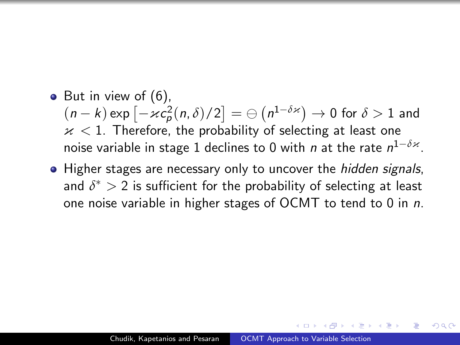- $\bullet$  But in view of  $(6)$ ,  $(n-k)\exp\left[-\varkappa c^2_p(n,\delta)/2\right]=\ominus\left(n^{1-\delta\varkappa}\right)\to 0$  for  $\delta>1$  and  $x < 1$ . Therefore, the probability of selecting at least one noise variable in stage 1 declines to 0 with *n* at the rate  $n^{1-\delta \varkappa}$ .
- Higher stages are necessary only to uncover the *hidden signals*, and  $\delta^*>2$  is sufficient for the probability of selecting at least one noise variable in higher stages of OCMT to tend to 0 in n.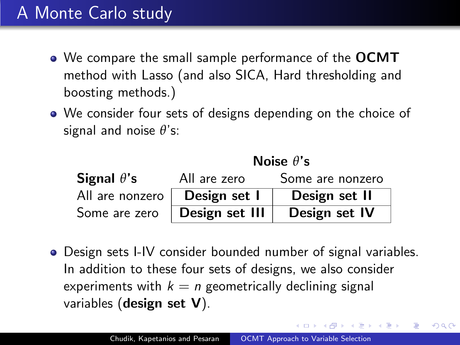## A Monte Carlo study

- We compare the small sample performance of the OCMT method with Lasso (and also SICA, Hard thresholding and boosting methods.)
- We consider four sets of designs depending on the choice of signal and noise *θ*'s:

|                    |                | Noise $\theta$ 's |
|--------------------|----------------|-------------------|
| Signal $\theta$ 's | All are zero   | Some are nonzero  |
| All are nonzero    | Design set I   | Design set II     |
| Some are zero      | Design set III | Design set IV     |

Design sets I-IV consider bounded number of signal variables. In addition to these four sets of designs, we also consider experiments with  $k = n$  geometrically declining signal variables (design set V).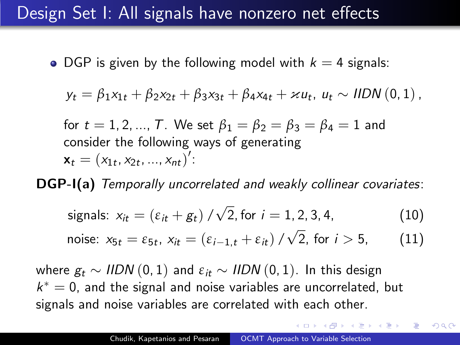## Design Set I: All signals have nonzero net effects

• DGP is given by the following model with  $k = 4$  signals:

$$
y_t = \beta_1 x_{1t} + \beta_2 x_{2t} + \beta_3 x_{3t} + \beta_4 x_{4t} + \varkappa u_t, u_t \sim \text{HDN}(0, 1),
$$

for  $t = 1, 2, ..., T$ . We set  $\beta_1 = \beta_2 = \beta_3 = \beta_4 = 1$  and consider the following ways of generating  $\mathbf{x}_t = (x_{1t}, x_{2t}, ..., x_{nt})'$ :

DGP-I(a) Temporally uncorrelated and weakly collinear covariates:

<span id="page-44-0"></span>\n signals: \n 
$$
x_{it} = \left( \varepsilon_{it} + g_t \right) / \sqrt{2}, \text{ for } i = 1, 2, 3, 4,
$$
\n \tag{10}\n

<span id="page-44-1"></span>noise: 
$$
x_{5t} = \varepsilon_{5t}
$$
,  $x_{it} = (\varepsilon_{i-1,t} + \varepsilon_{it}) / \sqrt{2}$ , for  $i > 5$ , (11)

where  $g_t$  ∼ IIDN (0, 1) and  $\varepsilon$ <sub>it</sub> ∼ IIDN (0, 1). In this design  $k^* = 0$ , and the signal and noise variables are uncorrelated, but signals and noise variables are correlated with each other.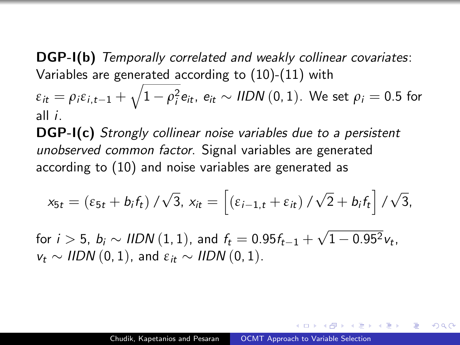DGP-I(b) Temporally correlated and weakly collinear covariates: Variables are generated according to [\(10\)](#page-44-0)-[\(11\)](#page-44-1) with

 $\varepsilon_{it} = \rho_i \varepsilon_{i,t-1} + \sqrt{1-\rho_i^2} e_{it}, \ e_{it} \sim \textit{HDN}\left(0,1\right).$  We set  $\rho_i = 0.5$  for all i.

DGP-I(c) Strongly collinear noise variables due to a persistent unobserved common factor. Signal variables are generated according to [\(10\)](#page-44-0) and noise variables are generated as

$$
x_{5t} = \left(\varepsilon_{5t} + b_i f_t\right) / \sqrt{3}, x_{it} = \left[\left(\varepsilon_{i-1,t} + \varepsilon_{it}\right) / \sqrt{2} + b_i f_t\right] / \sqrt{3},
$$

for  $i>5,~b_i\sim$  IIDN  $(1,1),$  and  $f_t=0.95f_{t-1}+$ √  $1 - 0.95^2 v_t$  $v_t \sim IIDN(0, 1)$ , and  $\varepsilon_{it} \sim IIDN(0, 1)$ .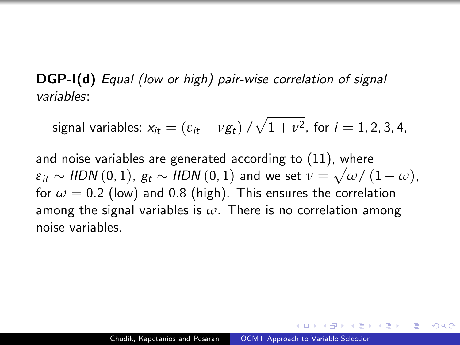DGP-I(d) Equal (low or high) pair-wise correlation of signal variables:

signal variables:  $x_{it} = (\varepsilon_{it} + \nu g_t) / \sqrt{1 + \nu^2}$ , for  $i = 1, 2, 3, 4$ ,

and noise variables are generated according to [\(11\)](#page-44-1), where  $\varepsilon_{it} \sim$  *IIDN*  $(0,1)$ ,  $g_t \sim$  *IIDN*  $(0,1)$  and we set  $\nu = \sqrt{\omega/\left(1 - \omega\right)}$ , for  $\omega = 0.2$  (low) and 0.8 (high). This ensures the correlation among the signal variables is *ω*. There is no correlation among noise variables.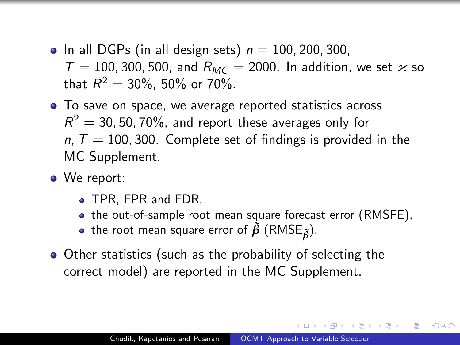- <span id="page-47-0"></span>• In all DGPs (in all design sets)  $n = 100, 200, 300$ ,  $T = 100$ , 300, 500, and  $R_{MC} = 2000$ . In addition, we set  $\varkappa$  so that  $R^2 = 30\%$ , 50% or 70%.
- To save on space, we average reported statistics across  $R^2 = 30$ , 50, 70%, and report these averages only for  $n, T = 100, 300$ . Complete set of findings is provided in the MC Supplement.
- We report:
	- TPR, FPR and FDR.
	- the out-of-sample root mean square forecast error (RMSFE),
	- $\bullet$  the root mean square error of  $\tilde{\beta}$  (RMSE<sub> $\tilde{\beta}$ </sub>).
- Other statistics (such as the probability of selecting the correct model) are reported in the MC Supplement.

 $\Omega$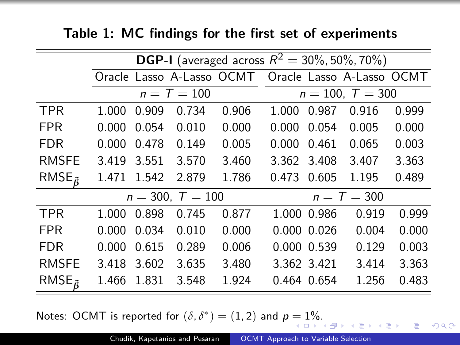|  |  |  |  |  |  |  |  | Table 1: MC findings for the first set of experiments |
|--|--|--|--|--|--|--|--|-------------------------------------------------------|
|--|--|--|--|--|--|--|--|-------------------------------------------------------|

|                                             |       |       |                    |       |       |                 | <b>DGP-I</b> (averaged across $R^2 = 30\%, 50\%, 70\%$ ) |       |
|---------------------------------------------|-------|-------|--------------------|-------|-------|-----------------|----------------------------------------------------------|-------|
|                                             |       |       |                    |       |       |                 | Oracle Lasso A-Lasso OCMT Oracle Lasso A-Lasso OCMT      |       |
|                                             |       |       | $n = T = 100$      |       |       |                 | $n = 100, T = 300$                                       |       |
| <b>TPR</b>                                  | 1.000 | 0.909 | 0.734              | 0.906 | 1.000 | 0.987           | 0.916                                                    | 0.999 |
| <b>FPR</b>                                  | 0.000 | 0.054 | 0.010              | 0.000 | 0.000 | 0.054           | 0.005                                                    | 0.000 |
| <b>FDR</b>                                  | 0.000 | 0.478 | 0.149              | 0.005 | 0.000 | 0.461           | 0.065                                                    | 0.003 |
| <b>RMSFE</b>                                | 3.419 | 3.551 | 3.570              | 3.460 | 3.362 | 3.408           | 3.407                                                    | 3.363 |
| RMSE $_{\tilde{6}}$                         | 1.471 | 1.542 | 2.879              | 1.786 | 0.473 | 0.605           | 1.195                                                    | 0.489 |
|                                             |       |       | $n = 300, T = 100$ |       |       |                 | $n = T = 300$                                            |       |
| <b>TPR</b>                                  | 1.000 | 0.898 | 0.745              | 0.877 |       | 1.000 0.986     | 0.919                                                    | 0.999 |
| <b>FPR</b>                                  | 0.000 | 0.034 | 0.010              | 0.000 |       | $0.000$ $0.026$ | 0.004                                                    | 0.000 |
| <b>FDR</b>                                  | 0.000 | 0.615 | 0.289              | 0.006 |       | 0.000 0.539     | 0.129                                                    | 0.003 |
| <b>RMSFE</b>                                | 3.418 | 3.602 | 3.635              | 3.480 |       | 3.362 3.421     | 3.414                                                    | 3.363 |
| RMSE <sub><math>\tilde{\alpha}</math></sub> | 1.466 | 1.831 | 3.548              | 1.924 |       | 0.464 0.654     | 1.256                                                    | 0.483 |

Notes: OCMT is reported for  $(\delta, \delta^*) = (1, 2)$  $(\delta, \delta^*) = (1, 2)$  $(\delta, \delta^*) = (1, 2)$  and  $p = 1\%$  $p = 1\%$ [.](#page-47-0)

目

 $299$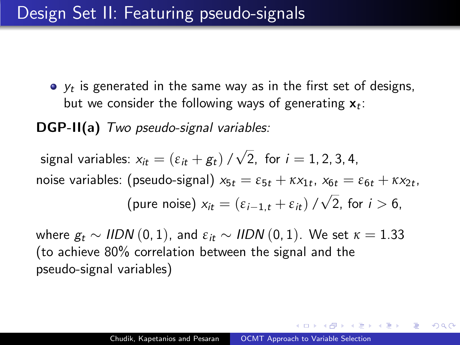<span id="page-49-0"></span> $y_t$  is generated in the same way as in the first set of designs, but we consider the following ways of generating  $\mathbf{x}_t$ :

DGP-II(a) Two pseudo-signal variables:

signal variables:  $x_{it} = (\varepsilon_{it} + \varepsilon_{t})/$ √ 2, for  $i = 1, 2, 3, 4$ , noise variables: (pseudo-signal)  $x_{5t} = \varepsilon_{5t} + \kappa x_{1t}$ ,  $x_{6t} = \varepsilon_{6t} + \kappa x_{2t}$ , (pure noise)  $x_{it} = (\varepsilon_{i-1,t} + \varepsilon_{it})$  / √ 2, for  $i > 6$ ,

where  $g_t$  ∼ IIDN (0, 1), and  $\varepsilon$ <sub>it</sub> ∼ IIDN (0, 1). We set  $\kappa = 1.33$ (to achieve 80% correlation between the signal and the pseudo-signal variables)

 $200$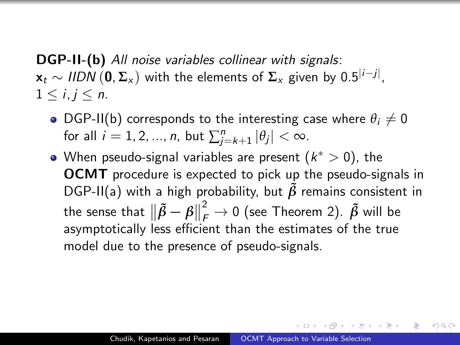<span id="page-50-0"></span>DGP-II-(b) All noise variables collinear with signals: x<sup>t</sup> ∼ IIDN (0, **Σ**<sup>x</sup> ) with the elements of **Σ**<sup>x</sup> given by 0.5|i−j<sup>|</sup> ,  $1 \le i, j \le n$ .

- DGP-II(b) corresponds to the interesting case where  $\theta_i \neq 0$ for all  $i = 1, 2, ..., n$ , but  $\sum_{j=k+1}^{n} |\theta_j| < \infty$ .
- When pseudo-signal variables are present  $(k^*>0)$ , the OCMT procedure is expected to pick up the pseudo-signals in DGP-II(a) with a high probability, but  $\tilde{\beta}$  remains consistent in the sense that  $\|\tilde{\beta} - \beta\|$  $\frac{2}{\epsilon} \rightarrow 0$  (see Theorem 2).  $\tilde{\beta}$  will be asymptotically less efficient than the estimates of the true model due to the presence of pseudo-signals.

桐 レースモ レースモ レー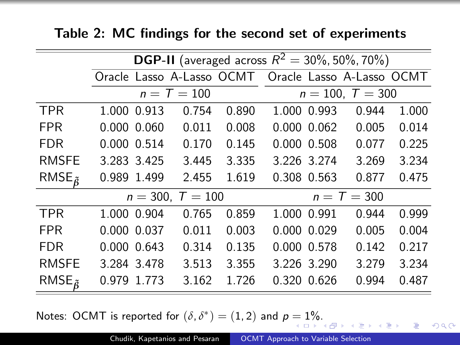|                     |             |                    |       | <b>DGP-II</b> (averaged across $R^2 = 30\%$ , 50%, 70%) |                 |                                                     |       |
|---------------------|-------------|--------------------|-------|---------------------------------------------------------|-----------------|-----------------------------------------------------|-------|
|                     |             |                    |       |                                                         |                 | Oracle Lasso A-Lasso OCMT Oracle Lasso A-Lasso OCMT |       |
|                     |             | $n = T = 100$      |       |                                                         |                 | $n = 100, T = 300$                                  |       |
| <b>TPR</b>          | 1.000 0.913 | 0.754              | 0.890 |                                                         | 1.000 0.993     | 0.944                                               | 1.000 |
| <b>FPR</b>          | 0.000 0.060 | 0.011              | 0.008 |                                                         | 0.000 0.062     | 0.005                                               | 0.014 |
| <b>FDR</b>          | 0.000 0.514 | 0.170              | 0.145 |                                                         | 0.000 0.508     | 0.077                                               | 0.225 |
| <b>RMSFE</b>        | 3.283 3.425 | 3.445              | 3.335 |                                                         | 3.226 3.274     | 3.269                                               | 3.234 |
| RMSE $_{\tilde{6}}$ | 0.989 1.499 | 2.455              | 1.619 |                                                         | 0.308 0.563     | 0.877                                               | 0.475 |
|                     |             | $n = 300, T = 100$ |       |                                                         |                 | $n = T = 300$                                       |       |
| <b>TPR</b>          | 1.000 0.904 | 0.765              | 0.859 |                                                         | 1.000 0.991     | 0.944                                               | 0.999 |
| <b>FPR</b>          | 0.000 0.037 | 0.011              | 0.003 |                                                         | $0.000$ $0.029$ | 0.005                                               | 0.004 |
| <b>FDR</b>          | 0.000 0.643 | 0.314              | 0.135 |                                                         | 0.000 0.578     | 0.142                                               | 0.217 |
| <b>RMSFE</b>        | 3.284 3.478 | 3.513              | 3.355 |                                                         | 3.226 3.290     | 3.279                                               | 3.234 |
| RMSE $_{\tilde{6}}$ | 0.979 1.773 | 3.162              | 1.726 |                                                         | 0.320 0.626     | 0.994                                               | 0.487 |

### Table 2: MC findings for the second set of experiments

Notes: OCMT is reported for  $(\delta, \delta^*) = (1, 2)$  $(\delta, \delta^*) = (1, 2)$  $(\delta, \delta^*) = (1, 2)$  and  $p = 1\%$  $p = 1\%$ [.](#page-50-0)

 $299$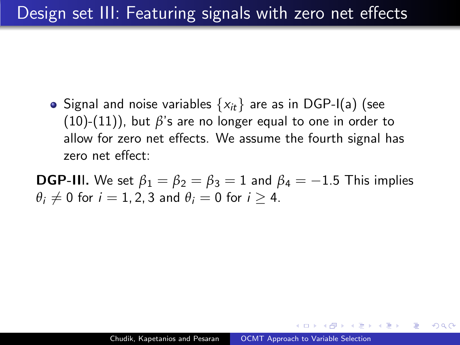<span id="page-52-0"></span>• Signal and noise variables  $\{x_{it}\}\$  are as in DGP-I(a) (see  $(10)-(11)$  $(10)-(11)$  $(10)-(11)$ ), but  $\beta$ 's are no longer equal to one in order to allow for zero net effects. We assume the fourth signal has zero net effect:

**DGP-III.** We set  $\beta_1 = \beta_2 = \beta_3 = 1$  and  $\beta_4 = -1.5$  This implies  $\theta_i \neq 0$  for  $i = 1, 2, 3$  and  $\theta_i = 0$  for  $i > 4$ .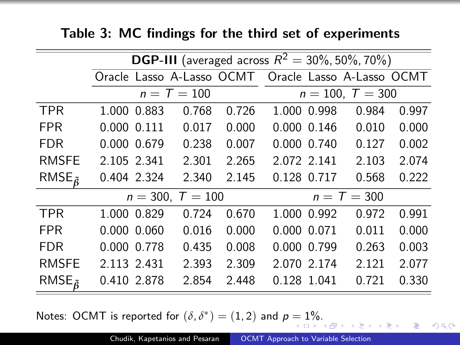|                     |                                                     |               |       | <b>DGP-III</b> (averaged across $R^2 = 30\%$ , 50%, 70%) |               |       |
|---------------------|-----------------------------------------------------|---------------|-------|----------------------------------------------------------|---------------|-------|
|                     | Oracle Lasso A-Lasso OCMT Oracle Lasso A-Lasso OCMT |               |       |                                                          |               |       |
|                     |                                                     | $n = T = 100$ |       | $n = 100, T = 300$                                       |               |       |
| <b>TPR</b>          | 1.000 0.883                                         | 0.768         | 0.726 | 1.000 0.998                                              | 0.984         | 0.997 |
| <b>FPR</b>          | 0.000 0.111                                         | 0.017         | 0.000 | $0.000$ $0.146$                                          | 0.010         | 0.000 |
| <b>FDR</b>          | 0.000 0.679                                         | 0.238         | 0.007 | 0.000 0.740                                              | 0.127         | 0.002 |
| <b>RMSFE</b>        | 2.105 2.341                                         | 2.301         | 2.265 | 2.072 2.141                                              | 2.103         | 2.074 |
| RMSE $_{\tilde{R}}$ | 0.404 2.324                                         | 2.340         | 2.145 | 0.128 0.717                                              | 0.568         | 0.222 |
|                     | $n = 300, T = 100$                                  |               |       |                                                          | $n = T = 300$ |       |
| <b>TPR</b>          | 1.000 0.829                                         | 0.724         | 0.670 | 1.000 0.992                                              | 0.972         | 0.991 |
| <b>FPR</b>          | $0.000$ $0.060$                                     | 0.016         | 0.000 | 0.000 0.071                                              | 0.011         | 0.000 |
| <b>FDR</b>          | 0.000 0.778                                         | 0.435         | 0.008 | 0.000 0.799                                              | 0.263         | 0.003 |
| <b>RMSFE</b>        | 2.113 2.431                                         | 2.393         | 2.309 | 2.070 2.174                                              | 2.121         | 2.077 |

Table 3: MC findings for the third set of experiments

Notes: OCMT is reported for  $(\delta, \delta^*) = (1, 2)$  $(\delta, \delta^*) = (1, 2)$  $(\delta, \delta^*) = (1, 2)$  and  $p = 1\%$  $p = 1\%$ [.](#page-52-0)

 $299$ 

э

RMSE*β***˜** 0.410 2.878 2.854 2.448 0.128 1.041 0.721 0.330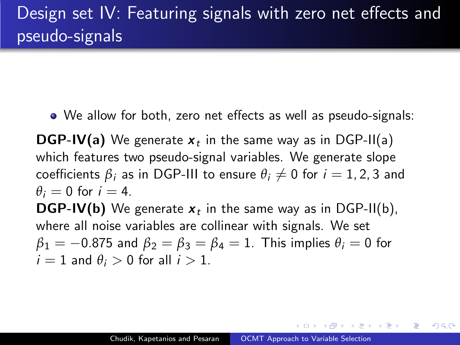<span id="page-54-0"></span>We allow for both, zero net effects as well as pseudo-signals:

**DGP-IV(a)** We generate  $x_t$  in the same way as in DGP-II(a) which features two pseudo-signal variables. We generate slope coefficients  $\beta_i$  as in DGP-III to ensure  $\theta_i \neq 0$  for  $i = 1, 2, 3$  and  $\theta_i = 0$  for  $i = 4$ .

**DGP-IV(b)** We generate  $x_t$  in the same way as in DGP-II(b), where all noise variables are collinear with signals. We set  $\beta_1 = -0.875$  and  $\beta_2 = \beta_3 = \beta_4 = 1$ . This implies  $\theta_i = 0$  for  $i = 1$  and  $\theta_i > 0$  for all  $i > 1$ .

母 トマミト マミト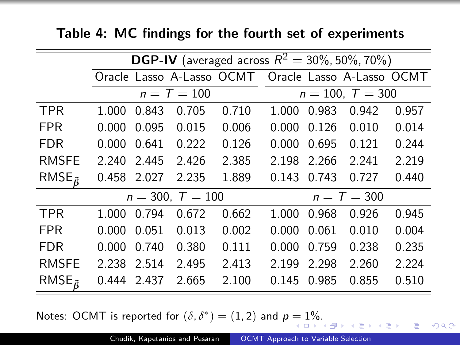|                     |       | <b>DGP-IV</b> (averaged across $R^2 = 30\%, 50\%, 70\%$ ) |                    |                                                     |       |       |                    |       |  |  |  |
|---------------------|-------|-----------------------------------------------------------|--------------------|-----------------------------------------------------|-------|-------|--------------------|-------|--|--|--|
|                     |       |                                                           |                    | Oracle Lasso A-Lasso OCMT Oracle Lasso A-Lasso OCMT |       |       |                    |       |  |  |  |
|                     |       |                                                           | $n = T = 100$      |                                                     |       |       | $n = 100, T = 300$ |       |  |  |  |
| <b>TPR</b>          | 1.000 | 0.843                                                     | 0.705              | 0.710                                               | 1.000 | 0.983 | 0.942              | 0.957 |  |  |  |
| <b>FPR</b>          | 0.000 | 0.095                                                     | 0.015              | 0.006                                               | 0.000 | 0.126 | 0.010              | 0.014 |  |  |  |
| <b>FDR</b>          | 0.000 | 0.641                                                     | 0.222              | 0.126                                               | 0.000 | 0.695 | 0.121              | 0.244 |  |  |  |
| <b>RMSFE</b>        | 2.240 | 2.445                                                     | 2.426              | 2.385                                               | 2.198 | 2.266 | 2.241              | 2.219 |  |  |  |
| RMSE $_{\tilde{6}}$ |       | 0.458 2.027                                               | 2.235              | 1.889                                               | 0.143 | 0.743 | 0.727              | 0.440 |  |  |  |
|                     |       |                                                           | $n = 300, T = 100$ |                                                     |       |       | $n = T = 300$      |       |  |  |  |
| <b>TPR</b>          | 1.000 | 0.794                                                     | 0.672              | 0.662                                               | 1.000 | 0.968 | 0.926              | 0.945 |  |  |  |
| <b>FPR</b>          | 0.000 | 0.051                                                     | 0.013              | 0.002                                               | 0.000 | 0.061 | 0.010              | 0.004 |  |  |  |
| <b>FDR</b>          | 0.000 | 0.740                                                     | 0.380              | 0.111                                               | 0.000 | 0.759 | 0.238              | 0.235 |  |  |  |
| <b>RMSFE</b>        | 2.238 | 2.514                                                     | 2.495              | 2.413                                               | 2.199 | 2.298 | 2.260              | 2.224 |  |  |  |
| RMSE $_{\tilde{6}}$ | 0.444 | 2.437                                                     | 2.665              | 2.100                                               | 0.145 | 0.985 | 0.855              | 0.510 |  |  |  |

Table 4: MC findings for the fourth set of experiments

Notes: OCMT is reported for  $(\delta, \delta^*) = (1, 2)$  $(\delta, \delta^*) = (1, 2)$  $(\delta, \delta^*) = (1, 2)$  and  $p = 1\%$  $p = 1\%$ [.](#page-54-0)

 $2990$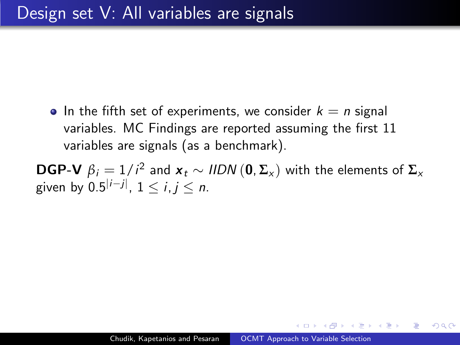<span id="page-56-0"></span>• In the fifth set of experiments, we consider  $k = n$  signal variables. MC Findings are reported assuming the first 11 variables are signals (as a benchmark).

 $\textbf{DGP-V}\:\: \beta_i = 1/i^2$  and  $\textbf{\textit{x}}_t \sim \textit{HDN}\left(\textbf{0}, \boldsymbol{\Sigma_\textbf{x}}\right)$  with the elements of  $\boldsymbol{\Sigma_\textbf{x}}$ given by  $0.5^{|i-j|}$ ,  $1 \le i,j \le n$ .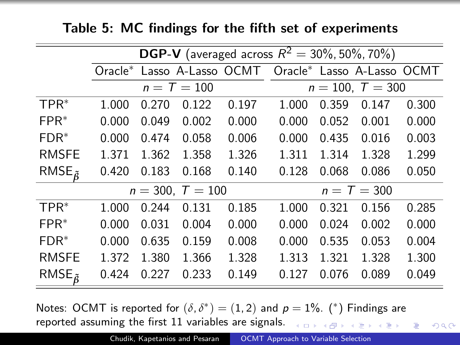### Table 5: MC findings for the fifth set of experiments

|                     |       |       |                    |       | <b>DGP-V</b> (averaged across $R^2 = 30\%$ , 50%, 70%) |       |                    |       |
|---------------------|-------|-------|--------------------|-------|--------------------------------------------------------|-------|--------------------|-------|
|                     |       |       |                    |       | Oracle* Lasso A-Lasso OCMT Oracle* Lasso A-Lasso OCMT  |       |                    |       |
|                     |       |       | $n = T = 100$      |       |                                                        |       | $n = 100, T = 300$ |       |
| $TPR^*$             | 1.000 | 0.270 | 0.122              | 0.197 | 1.000                                                  | 0.359 | 0.147              | 0.300 |
| $FPR^*$             | 0.000 | 0.049 | 0.002              | 0.000 | 0.000                                                  | 0.052 | 0.001              | 0.000 |
| $FDR^*$             | 0.000 | 0.474 | 0.058              | 0.006 | 0.000                                                  | 0.435 | 0.016              | 0.003 |
| <b>RMSFE</b>        | 1.371 | 1.362 | 1.358              | 1.326 | 1.311                                                  | 1.314 | 1.328              | 1.299 |
| RMSE $_{\tilde{6}}$ | 0.420 | 0.183 | 0.168              | 0.140 | 0.128                                                  | 0.068 | 0.086              | 0.050 |
|                     |       |       | $n = 300, T = 100$ |       |                                                        |       | $n = T = 300$      |       |
| $TPR^*$             | 1.000 | 0.244 | 0.131              | 0.185 | 1.000                                                  | 0.321 | 0.156              | 0.285 |
| $FPR^*$             | 0.000 | 0.031 | 0.004              | 0.000 | 0.000                                                  | 0.024 | 0.002              | 0.000 |
| $FDR^*$             | 0.000 | 0.635 | 0.159              | 0.008 | 0.000                                                  | 0.535 | 0.053              | 0.004 |
| <b>RMSFE</b>        | 1.372 | 1.380 | 1.366              | 1.328 | 1.313                                                  | 1.321 | 1.328              | 1.300 |
| RMSE $_{\tilde{6}}$ | 0.424 | 0.227 | 0.233              | 0.149 | 0.127                                                  | 0.076 | 0.089              | 0.049 |

Notes: OCMT is reported for  $(\delta, \delta^*) = (1, 2)$  and  $p = 1\%$ . (\*) Findings are reported assuming the first 11 variables are signals. .<br>K ロ ▶ K @ ▶ K 할 ▶ K 할 ▶ .. 할 ...

 $2990$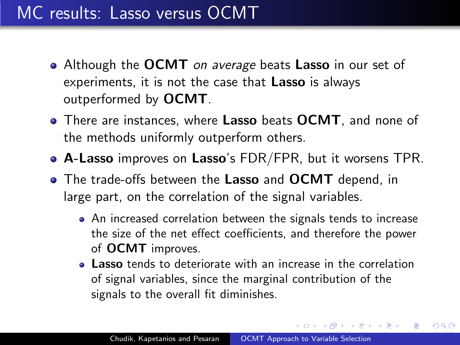## MC results: Lasso versus OCMT

- Although the OCMT on average beats Lasso in our set of experiments, it is not the case that Lasso is always outperformed by OCMT.
- There are instances, where Lasso beats OCMT, and none of the methods uniformly outperform others.
- **A-Lasso** improves on Lasso's FDR/FPR, but it worsens TPR.
- The trade-offs between the Lasso and OCMT depend, in large part, on the correlation of the signal variables.
	- An increased correlation between the signals tends to increase the size of the net effect coefficients, and therefore the power of OCMT improves.
	- **Lasso** tends to deteriorate with an increase in the correlation of signal variables, since the marginal contribution of the signals to the overall fit diminishes.

 $\langle \bigcap \mathbb{P} \rangle$   $\rightarrow$   $\langle \bigcap \mathbb{P} \rangle$   $\rightarrow$   $\langle \bigcap \mathbb{P} \rangle$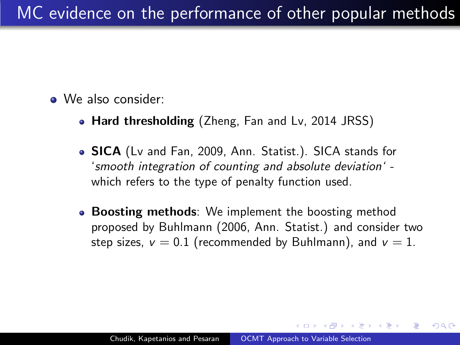- We also consider:
	- Hard thresholding (Zheng, Fan and Lv, 2014 JRSS)
	- **SICA** (Lv and Fan, 2009, Ann. Statist.). SICA stands for 'smooth integration of counting and absolute deviation' which refers to the type of penalty function used.
	- Boosting methods: We implement the boosting method proposed by Buhlmann (2006, Ann. Statist.) and consider two step sizes,  $v = 0.1$  (recommended by Buhlmann), and  $v = 1$ .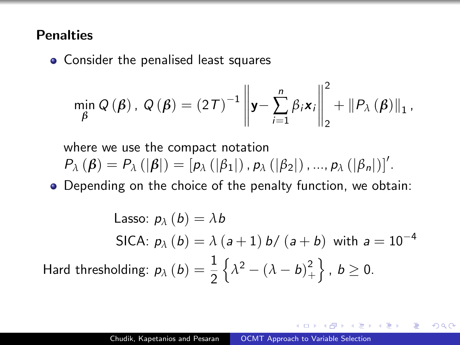#### Penalties

• Consider the penalised least squares

$$
\min_{\beta} Q(\beta), Q(\beta) = (2\mathcal{T})^{-1} \left\| \mathbf{y} - \sum_{i=1}^{n} \beta_{i} \mathbf{x}_{i} \right\|_{2}^{2} + \left\| P_{\lambda}(\beta) \right\|_{1},
$$

where we use the compact notation  $P_{\lambda} (\boldsymbol{\beta}) = P_{\lambda} (|\boldsymbol{\beta}|) = [p_{\lambda} (|\beta_1|), p_{\lambda} (|\beta_2|), ..., p_{\lambda} (|\beta_n|)]'.$ 

Depending on the choice of the penalty function, we obtain:

Lasso:  $p_{\lambda}$   $(b) = \lambda b$ SICA:  $p_{\lambda}$  (b) =  $\lambda$  (a + 1) b/ (a + b) with a = 10<sup>-4</sup> Hard thresholding:  $p_{\lambda} \left( b \right) = \frac{1}{2}$ 2  $\left\{\lambda^2 - (\lambda - b)^2\right\}$  $\left. \begin{array}{c} 2 \ + \end{array} \right\}$  ,  $b \geq 0$ .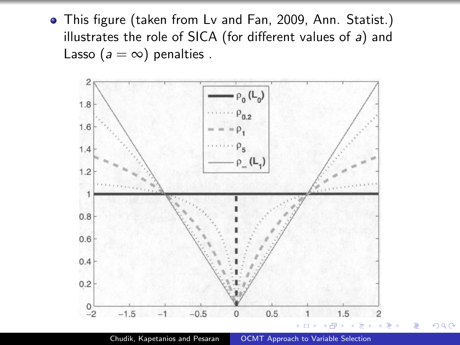This figure (taken from Lv and Fan, 2009, Ann. Statist.) illustrates the role of SICA (for different values of a) and Lasso ( $a = \infty$ ) penalties.



Chudik, Kapetanios and Pesaran | [OCMT Approach to Variable Selection](#page-0-0)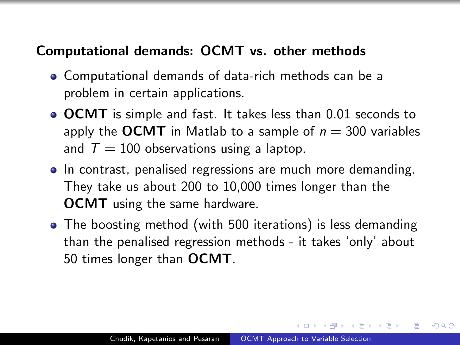## Computational demands: OCMT vs. other methods

- Computational demands of data-rich methods can be a problem in certain applications.
- OCMT is simple and fast. It takes less than 0.01 seconds to apply the OCMT in Matlab to a sample of  $n = 300$  variables and  $T = 100$  observations using a laptop.
- In contrast, penalised regressions are much more demanding. They take us about 200 to 10,000 times longer than the OCMT using the same hardware.
- The boosting method (with 500 iterations) is less demanding than the penalised regression methods - it takes 'only' about 50 times longer than OCMT.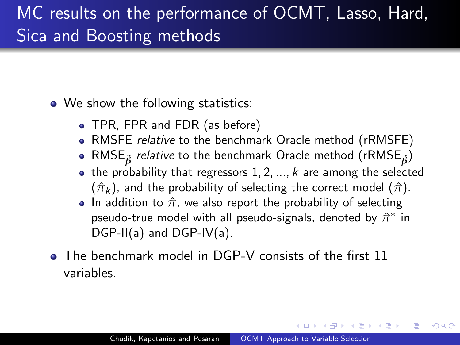# MC results on the performance of OCMT, Lasso, Hard, Sica and Boosting methods

• We show the following statistics:

- TPR, FPR and FDR (as before)
- RMSFE relative to the benchmark Oracle method (rRMSFE)
- RMSE*β***˜** relative to the benchmark Oracle method (rRMSE*β***˜**)
- $\bullet$  the probability that regressors 1, 2, ..., k are among the selected  $(\hat{\pi}_k)$ , and the probability of selecting the correct model  $(\hat{\pi})$ .
- In addition to  $\hat{\pi}$ , we also report the probability of selecting pseudo-true model with all pseudo-signals, denoted by  $\hat{\pi}^*$  in DGP-II(a) and DGP-IV(a).
- The benchmark model in DGP-V consists of the first 11 variables.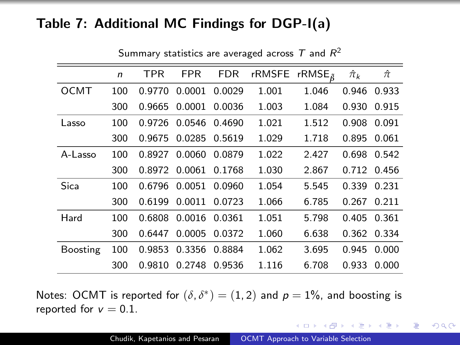#### Table 7: Additional MC Findings for DGP-I(a)

|             | $\mathsf{n}$ | <b>TPR</b> | <b>FPR</b>    | FDR           | rRMSFE rRMSE $_{\tilde{B}}$ |       | $\hat{\pi}_k$ | $\hat{\pi}$ |
|-------------|--------------|------------|---------------|---------------|-----------------------------|-------|---------------|-------------|
| <b>OCMT</b> | 100          | 0.9770     | 0.0001        | 0.0029        | 1.001                       | 1.046 |               | 0.946 0.933 |
|             | 300          | 0.9665     | 0.0001        | 0.0036        | 1.003                       | 1.084 | 0.930         | 0.915       |
| Lasso       | 100          | 0.9726     | 0.0546        | 0.4690        | 1.021                       | 1.512 | 0.908         | 0.091       |
|             | 300          | 0.9675     | 0.0285        | 0.5619        | 1.029                       | 1.718 | 0.895         | 0.061       |
| A-Lasso     | 100          | 0.8927     |               | 0.0060 0.0879 | 1.022                       | 2.427 |               | 0.698 0.542 |
|             | 300          | 0.8972     | 0.0061        | 0.1768        | 1.030                       | 2.867 |               | 0.712 0.456 |
| Sica        | 100          |            | 0.6796 0.0051 | 0.0960        | 1.054                       | 5.545 |               | 0.339 0.231 |
|             | 300          | 0.6199     | 0.0011        | 0.0723        | 1.066                       | 6.785 | 0.267         | 0.211       |
| Hard        | 100          | 0.6808     | 0.0016        | 0.0361        | 1.051                       | 5.798 |               | 0.405 0.361 |
|             | 300          | 0.6447     | 0.0005        | 0.0372        | 1.060                       | 6.638 |               | 0.362 0.334 |
| Boosting    | 100          | 0.9853     | 0.3356 0.8884 |               | 1.062                       | 3.695 | 0.945         | 0.000       |
|             | 300          | 0.9810     | 0.2748        | 0.9536        | 1.116                       | 6.708 | 0.933         | 0.000       |

Summary statistics are averaged across  $\mathcal T$  and  $\mathcal R^2$ 

Notes: OCMT is reported for  $(\delta, \delta^*) = (1, 2)$  and  $p = 1\%$ , and boosting is reported for  $v = 0.1$ .

イロメ イ母メ イヨメ イヨメー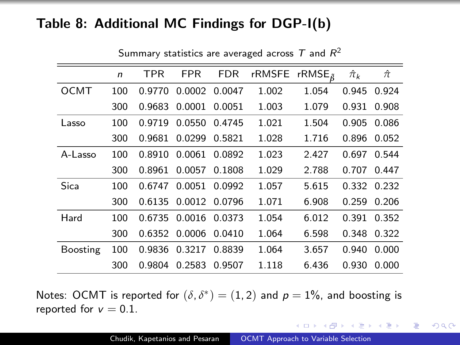#### Table 8: Additional MC Findings for DGP-I(b)

|             | $\mathsf{n}$ | <b>TPR</b> | <b>FPR</b>    | FDR           | rRMSFE rRMSE $_{\tilde{B}}$ |       | $\hat{\pi}_k$ | $\hat{\pi}$ |
|-------------|--------------|------------|---------------|---------------|-----------------------------|-------|---------------|-------------|
| <b>OCMT</b> | 100          | 0.9770     |               | 0.0002 0.0047 | 1.002                       | 1.054 | 0.945         | 0.924       |
|             | 300          | 0.9683     | 0.0001        | 0.0051        | 1.003                       | 1.079 | 0.931         | 0.908       |
| Lasso       | 100          | 0.9719     | 0.0550        | 0.4745        | 1.021                       | 1.504 | 0.905         | 0.086       |
|             | 300          | 0.9681     | 0.0299        | 0.5821        | 1.028                       | 1.716 | 0.896         | 0.052       |
| A-Lasso     | 100          | 0.8910     | 0.0061        | 0.0892        | 1.023                       | 2.427 |               | 0.697 0.544 |
|             | 300          | 0.8961     | 0.0057        | 0.1808        | 1.029                       | 2.788 |               | 0.707 0.447 |
| Sica        | 100          | 0.6747     | 0.0051        | 0.0992        | 1.057                       | 5.615 |               | 0.332 0.232 |
|             | 300          | 0.6135     | 0.0012        | 0.0796        | 1.071                       | 6.908 | 0.259         | 0.206       |
| Hard        | 100          | 0.6735     | 0.0016 0.0373 |               | 1.054                       | 6.012 |               | 0.391 0.352 |
|             | 300          | 0.6352     | 0.0006        | 0.0410        | 1.064                       | 6.598 |               | 0.348 0.322 |
| Boosting    | 100          | 0.9836     |               | 0.3217 0.8839 | 1.064                       | 3.657 | 0.940         | 0.000       |
|             | 300          | 0.9804     | 0.2583        | 0.9507        | 1.118                       | 6.436 | 0.930         | 0.000       |

Summary statistics are averaged across  $\mathcal T$  and  $\mathcal R^2$ 

Notes: OCMT is reported for  $(\delta, \delta^*) = (1, 2)$  and  $p = 1\%$ , and boosting is reported for  $v = 0.1$ .

イロメ イ母メ イヨメ イヨメー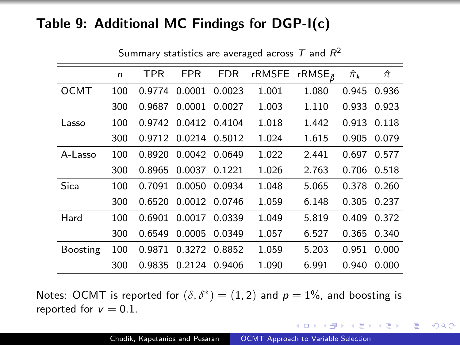#### Table 9: Additional MC Findings for DGP-I(c)

|             | $\mathsf{n}$ | <b>TPR</b> | <b>FPR</b> | <b>FDR</b>    | rRMSFE rRMSE $_{\tilde{R}}$ |       | $\hat{\pi}_k$ | $\hat{\pi}$ |
|-------------|--------------|------------|------------|---------------|-----------------------------|-------|---------------|-------------|
| <b>OCMT</b> | 100          | 0.9774     | 0.0001     | 0.0023        | 1.001                       | 1.080 | 0.945         | 0.936       |
|             | 300          | 0.9687     | 0.0001     | 0.0027        | 1.003                       | 1.110 | 0.933         | 0.923       |
| Lasso       | 100          | 0.9742     | 0.0412     | 0.4104        | 1.018                       | 1.442 | 0.913         | 0.118       |
|             | 300          | 0.9712     | 0.0214     | 0.5012        | 1.024                       | 1.615 | 0.905         | 0.079       |
| A-Lasso     | 100          | 0.8920     |            | 0.0042 0.0649 | 1.022                       | 2.441 |               | 0.697 0.577 |
|             | 300          | 0.8965     | 0.0037     | 0.1221        | 1.026                       | 2.763 | 0.706         | 0.518       |
| Sica        | 100          | 0.7091     | 0.0050     | 0.0934        | 1.048                       | 5.065 | 0.378         | 0.260       |
|             | 300          | 0.6520     | 0.0012     | 0.0746        | 1.059                       | 6.148 | 0.305         | 0.237       |
| Hard        | 100          | 0.6901     | 0.0017     | 0.0339        | 1.049                       | 5.819 | 0.409         | 0.372       |
|             | 300          | 0.6549     | 0.0005     | 0.0349        | 1.057                       | 6.527 | 0.365         | 0.340       |
| Boosting    | 100          | 0.9871     | 0.3272     | 0.8852        | 1.059                       | 5.203 | 0.951         | 0.000       |
|             | 300          | 0.9835     | 0.2124     | 0.9406        | 1.090                       | 6.991 | 0.940         | 0.000       |

Summary statistics are averaged across  $\mathcal T$  and  $\mathcal R^2$ 

Notes: OCMT is reported for  $(\delta, \delta^*) = (1, 2)$  and  $p = 1\%$ , and boosting is reported for  $v = 0.1$ .

イロメ イ母メ イヨメ イヨメー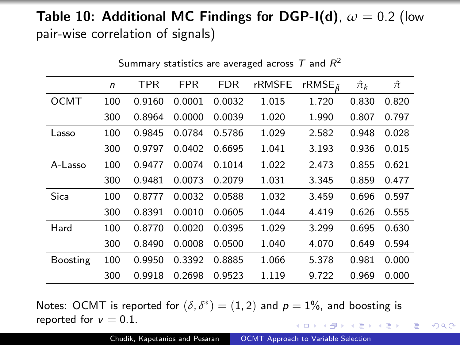## **Table 10: Additional MC Findings for DGP-I(d),**  $\omega = 0.2$  (low pair-wise correlation of signals)

|             |              |        |            |            | Summary statistics are averaged across 1 and $K^-$ |                      |               |             |
|-------------|--------------|--------|------------|------------|----------------------------------------------------|----------------------|---------------|-------------|
|             | $\mathsf{n}$ | TPR    | <b>FPR</b> | <b>FDR</b> | rRMSFE                                             | rRMSE $_{\tilde{a}}$ | $\hat{\pi}_k$ | $\hat{\pi}$ |
| <b>OCMT</b> | 100          | 0.9160 | 0.0001     | 0.0032     | 1.015                                              | 1.720                | 0.830         | 0.820       |
|             | 300          | 0.8964 | 0.0000     | 0.0039     | 1.020                                              | 1.990                | 0.807         | 0.797       |
| Lasso       | 100          | 0.9845 | 0.0784     | 0.5786     | 1.029                                              | 2.582                | 0.948         | 0.028       |
|             | 300          | 0.9797 | 0.0402     | 0.6695     | 1.041                                              | 3.193                | 0.936         | 0.015       |
| A-Lasso     | 100          | 0.9477 | 0.0074     | 0.1014     | 1.022                                              | 2.473                | 0.855         | 0.621       |
|             | 300          | 0.9481 | 0.0073     | 0.2079     | 1.031                                              | 3.345                | 0.859         | 0.477       |
| Sica        | 100          | 0.8777 | 0.0032     | 0.0588     | 1.032                                              | 3.459                | 0.696         | 0.597       |
|             | 300          | 0.8391 | 0.0010     | 0.0605     | 1.044                                              | 4.419                | 0.626         | 0.555       |
| Hard        | 100          | 0.8770 | 0.0020     | 0.0395     | 1.029                                              | 3.299                | 0.695         | 0.630       |
|             | 300          | 0.8490 | 0.0008     | 0.0500     | 1.040                                              | 4.070                | 0.649         | 0.594       |
| Boosting    | 100          | 0.9950 | 0.3392     | 0.8885     | 1.066                                              | 5.378                | 0.981         | 0.000       |
|             | 300          | 0.9918 | 0.2698     | 0.9523     | 1.119                                              | 9.722                | 0.969         | 0.000       |

 $S_{\rm{max}}$  statistics are averaged across T and R and R and R and R and R and R and R and R and R and R and R and R and R and R and R and R and R and R and R and R and R and R and R and R and R and R and R and R and R and  $\tau \rightarrow 2$ 

Notes: OCMT is reported for  $(\delta, \delta^*) = (1, 2)$  and  $p = 1\%$ , and boosting is reported for  $v = 0.1$ . イロメ イ母メ イヨメ イヨメーヨ

 $2990$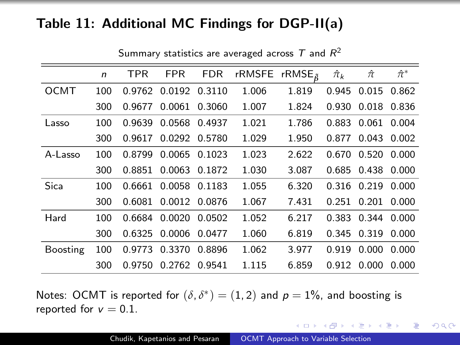### Table 11: Additional MC Findings for DGP-II(a)

|                 | $\mathsf{n}$ | <b>TPR</b> | <b>FPR</b>    | <b>FDR</b>    | rRMSFE rRMSE <sub><math>\tilde{a}</math></sub> |       | $\hat{\pi}_k$ | $\hat{\pi}$       | $\hat{\pi}^*$ |
|-----------------|--------------|------------|---------------|---------------|------------------------------------------------|-------|---------------|-------------------|---------------|
| OCMT            | 100          | 0.9762     | 0.0192        | 0.3110        | 1.006                                          | 1.819 | 0.945         | 0.015             | 0.862         |
|                 | 300          | 0.9677     | 0.0061        | 0.3060        | 1.007                                          | 1.824 | 0.930         | 0.018             | 0.836         |
| Lasso           | 100          | 0.9639     | 0.0568        | 0.4937        | 1.021                                          | 1.786 | 0.883         | 0.061             | 0.004         |
|                 | 300          | 0.9617     | 0.0292 0.5780 |               | 1.029                                          | 1.950 | 0.877         | 0.043             | 0.002         |
| A-Lasso         | 100          | 0.8799     |               | 0.0065 0.1023 | 1.023                                          | 2.622 | 0.670         | $0.520$ $0.000$   |               |
|                 | 300          | 0.8851     |               | 0.0063 0.1872 | 1.030                                          | 3.087 | 0.685         | 0.438             | 0.000         |
| Sica            | 100          | 0.6661     |               | 0.0058 0.1183 | 1.055                                          | 6.320 | 0.316         | 0.219             | 0.000         |
|                 | 300          | 0.6081     | 0.0012 0.0876 |               | 1.067                                          | 7.431 | 0.251         | 0.201             | 0.000         |
| Hard            | 100          | 0.6684     | 0.0020        | 0.0502        | 1.052                                          | 6.217 |               | 0.383 0.344 0.000 |               |
|                 | 300          | 0.6325     | 0.0006        | 0.0477        | 1.060                                          | 6.819 | 0.345         | 0.319             | 0.000         |
| <b>Boosting</b> | 100          | 0.9773     | 0.3370        | 0.8896        | 1.062                                          | 3.977 | 0.919         | 0.000             | 0.000         |
|                 | 300          | 0.9750     | 0.2762        | 0.9541        | 1.115                                          | 6.859 | 0.912         | 0.000             | 0.000         |

Summary statistics are averaged across  $\mathcal T$  and  $\mathcal R^2$ 

Notes: OCMT is reported for  $(\delta, \delta^*) = (1, 2)$  and  $p = 1\%$ , and boosting is reported for  $v = 0.1$ .

イロメ イ母メ イヨメ イヨメー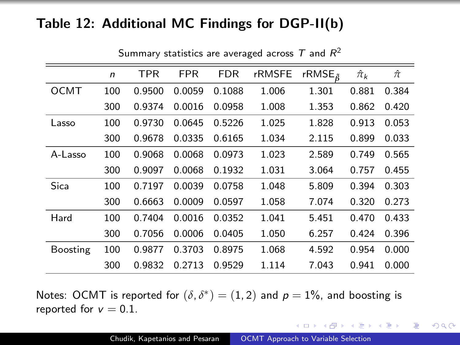## Table 12: Additional MC Findings for DGP-II(b)

|             | n   | <b>TPR</b> | <b>FPR</b> | <b>FDR</b> | <b>rRMSFE</b> | rRMSE $_{\tilde{6}}$ | $\hat{\pi}_k$ | $\hat{\pi}$ |
|-------------|-----|------------|------------|------------|---------------|----------------------|---------------|-------------|
| <b>OCMT</b> | 100 | 0.9500     | 0.0059     | 0.1088     | 1.006         | 1.301                | 0.881         | 0.384       |
|             | 300 | 0.9374     | 0.0016     | 0.0958     | 1.008         | 1.353                | 0.862         | 0.420       |
| Lasso       | 100 | 0.9730     | 0.0645     | 0.5226     | 1.025         | 1.828                | 0.913         | 0.053       |
|             | 300 | 0.9678     | 0.0335     | 0.6165     | 1.034         | 2.115                | 0.899         | 0.033       |
| A-Lasso     | 100 | 0.9068     | 0.0068     | 0.0973     | 1.023         | 2.589                | 0.749         | 0.565       |
|             | 300 | 0.9097     | 0.0068     | 0.1932     | 1.031         | 3.064                | 0.757         | 0.455       |
| Sica        | 100 | 0.7197     | 0.0039     | 0.0758     | 1.048         | 5.809                | 0.394         | 0.303       |
|             | 300 | 0.6663     | 0.0009     | 0.0597     | 1.058         | 7.074                | 0.320         | 0.273       |
| Hard        | 100 | 0.7404     | 0.0016     | 0.0352     | 1.041         | 5.451                | 0.470         | 0.433       |
|             | 300 | 0.7056     | 0.0006     | 0.0405     | 1.050         | 6.257                | 0.424         | 0.396       |
| Boosting    | 100 | 0.9877     | 0.3703     | 0.8975     | 1.068         | 4.592                | 0.954         | 0.000       |
|             | 300 | 0.9832     | 0.2713     | 0.9529     | 1.114         | 7.043                | 0.941         | 0.000       |

Summary statistics are averaged across  $\mathcal T$  and  $\mathcal R^2$ 

Notes: OCMT is reported for  $(\delta, \delta^*) = (1, 2)$  and  $p = 1\%$ , and boosting is reported for  $v = 0.1$ .

イロメ イ母メ イヨメ イヨメー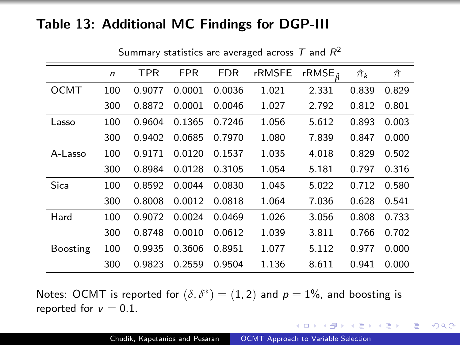### Table 13: Additional MC Findings for DGP-III

|             | n   | <b>TPR</b> | FPR    | <b>FDR</b> | rRMSFE | rRMSE $_{\tilde{6}}$ | $\hat{\pi}_k$ | π     |
|-------------|-----|------------|--------|------------|--------|----------------------|---------------|-------|
| <b>OCMT</b> | 100 | 0.9077     | 0.0001 | 0.0036     | 1.021  | 2.331                | 0.839         | 0.829 |
|             | 300 | 0.8872     | 0.0001 | 0.0046     | 1.027  | 2.792                | 0.812         | 0.801 |
| Lasso       | 100 | 0.9604     | 0.1365 | 0.7246     | 1.056  | 5.612                | 0.893         | 0.003 |
|             | 300 | 0.9402     | 0.0685 | 0.7970     | 1.080  | 7.839                | 0.847         | 0.000 |
| A-Lasso     | 100 | 0.9171     | 0.0120 | 0.1537     | 1.035  | 4.018                | 0.829         | 0.502 |
|             | 300 | 0.8984     | 0.0128 | 0.3105     | 1.054  | 5.181                | 0.797         | 0.316 |
| Sica        | 100 | 0.8592     | 0.0044 | 0.0830     | 1.045  | 5.022                | 0.712         | 0.580 |
|             | 300 | 0.8008     | 0.0012 | 0.0818     | 1.064  | 7.036                | 0.628         | 0.541 |
| Hard        | 100 | 0.9072     | 0.0024 | 0.0469     | 1.026  | 3.056                | 0.808         | 0.733 |
|             | 300 | 0.8748     | 0.0010 | 0.0612     | 1.039  | 3.811                | 0.766         | 0.702 |
| Boosting    | 100 | 0.9935     | 0.3606 | 0.8951     | 1.077  | 5.112                | 0.977         | 0.000 |
|             | 300 | 0.9823     | 0.2559 | 0.9504     | 1.136  | 8.611                | 0.941         | 0.000 |

Summary statistics are averaged across  $\mathcal T$  and  $\mathcal R^2$ 

Notes: OCMT is reported for  $(\delta, \delta^*) = (1, 2)$  and  $p = 1\%$ , and boosting is reported for  $v = 0.1$ .

イロメ イ押メ イヨメ イヨメー

 $2990$ 

重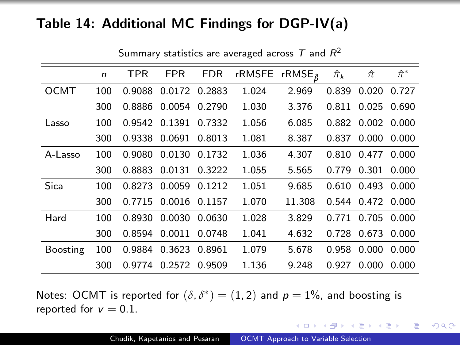### Table 14: Additional MC Findings for DGP-IV(a)

|             | $\mathsf{n}$ | <b>TPR</b> | <b>FPR</b>    | <b>FDR</b> | rRMSFE rRMSE <sub>a</sub> |        | $\hat{\pi}_k$ | $\hat{\pi}$       | $\hat{\pi}^*$ |
|-------------|--------------|------------|---------------|------------|---------------------------|--------|---------------|-------------------|---------------|
| <b>OCMT</b> | 100          | 0.9088     | 0.0172        | 0.2883     | 1.024                     | 2.969  | 0.839         | 0.020             | 0.727         |
|             | 300          | 0.8886     | 0.0054        | 0.2790     | 1.030                     | 3.376  | 0.811         | 0.025             | 0.690         |
| Lasso       | 100          |            | 0.9542 0.1391 | 0.7332     | 1.056                     | 6.085  | 0.882         | 0.002 0.000       |               |
|             | 300          | 0.9338     | 0.0691        | 0.8013     | 1.081                     | 8.387  | 0.837         | 0.000             | 0.000         |
| A-Lasso     | 100          | 0.9080     | 0.0130        | 0.1732     | 1.036                     | 4.307  |               | 0.810 0.477       | 0.000         |
|             | 300          | 0.8883     | 0.0131        | 0.3222     | 1.055                     | 5.565  | 0.779         | 0.301             | 0.000         |
| Sica        | 100          | 0.8273     | 0.0059        | 0.1212     | 1.051                     | 9.685  | 0.610         | 0.493             | 0.000         |
|             | 300          | 0.7715     | 0.0016        | 0.1157     | 1.070                     | 11.308 |               | 0.544 0.472 0.000 |               |
| Hard        | 100          | 0.8930     | 0.0030        | 0.0630     | 1.028                     | 3.829  | 0.771         | 0.705             | 0.000         |
|             | 300          | 0.8594     | 0.0011        | 0.0748     | 1.041                     | 4.632  | 0.728         | 0.673             | 0.000         |
| Boosting    | 100          | 0.9884     | 0.3623        | 0.8961     | 1.079                     | 5.678  | 0.958         | 0.000             | 0.000         |
|             | 300          | 0.9774     | 0.2572        | 0.9509     | 1.136                     | 9.248  | 0.927         | 0.000             | 0.000         |

Summary statistics are averaged across  $\mathcal T$  and  $\mathcal R^2$ 

Notes: OCMT is reported for  $(\delta, \delta^*) = (1, 2)$  and  $p = 1\%$ , and boosting is reported for  $v = 0.1$ .

イロメ イ母メ イヨメ イヨメー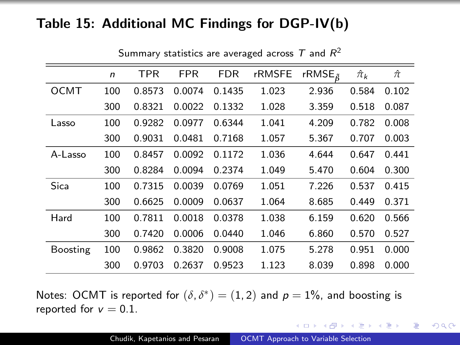### Table 15: Additional MC Findings for DGP-IV(b)

|             | n   | <b>TPR</b> | <b>FPR</b> | <b>FDR</b> | <b>rRMSFE</b> | rRMSE $_{\tilde{6}}$ | $\hat{\pi}_k$ | $\hat{\pi}$ |
|-------------|-----|------------|------------|------------|---------------|----------------------|---------------|-------------|
| <b>OCMT</b> | 100 | 0.8573     | 0.0074     | 0.1435     | 1.023         | 2.936                | 0.584         | 0.102       |
|             | 300 | 0.8321     | 0.0022     | 0.1332     | 1.028         | 3.359                | 0.518         | 0.087       |
| Lasso       | 100 | 0.9282     | 0.0977     | 0.6344     | 1.041         | 4.209                | 0.782         | 0.008       |
|             | 300 | 0.9031     | 0.0481     | 0.7168     | 1.057         | 5.367                | 0.707         | 0.003       |
| A-Lasso     | 100 | 0.8457     | 0.0092     | 0.1172     | 1.036         | 4.644                | 0.647         | 0.441       |
|             | 300 | 0.8284     | 0.0094     | 0.2374     | 1.049         | 5.470                | 0.604         | 0.300       |
| Sica        | 100 | 0.7315     | 0.0039     | 0.0769     | 1.051         | 7.226                | 0.537         | 0.415       |
|             | 300 | 0.6625     | 0.0009     | 0.0637     | 1.064         | 8.685                | 0.449         | 0.371       |
| Hard        | 100 | 0.7811     | 0.0018     | 0.0378     | 1.038         | 6.159                | 0.620         | 0.566       |
|             | 300 | 0.7420     | 0.0006     | 0.0440     | 1.046         | 6.860                | 0.570         | 0.527       |
| Boosting    | 100 | 0.9862     | 0.3820     | 0.9008     | 1.075         | 5.278                | 0.951         | 0.000       |
|             | 300 | 0.9703     | 0.2637     | 0.9523     | 1.123         | 8.039                | 0.898         | 0.000       |

Summary statistics are averaged across  $\mathcal T$  and  $\mathcal R^2$ 

Notes: OCMT is reported for  $(\delta, \delta^*) = (1, 2)$  and  $p = 1\%$ , and boosting is reported for  $v = 0.1$ .

イロメ イ母メ イヨメ イヨメー

 $2990$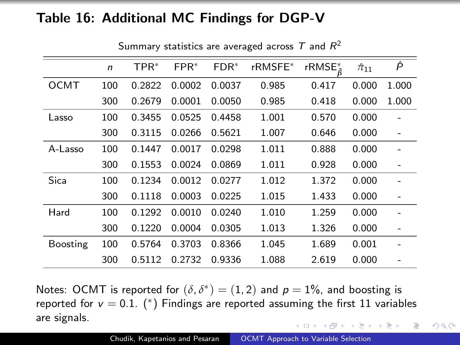### Table 16: Additional MC Findings for DGP-V

|             | $\mathsf{n}$ | TPR*   | $FPR*$ | $FDR*$ | rRMSFE* | rRMSE* | $\hat{\pi}_{11}$ | P     |
|-------------|--------------|--------|--------|--------|---------|--------|------------------|-------|
| <b>OCMT</b> | 100          | 0.2822 | 0.0002 | 0.0037 | 0.985   | 0.417  | 0.000            | 1.000 |
|             | 300          | 0.2679 | 0.0001 | 0.0050 | 0.985   | 0.418  | 0.000            | 1.000 |
| Lasso       | 100          | 0.3455 | 0.0525 | 0.4458 | 1.001   | 0.570  | 0.000            |       |
|             | 300          | 0.3115 | 0.0266 | 0.5621 | 1.007   | 0.646  | 0.000            |       |
| A-Lasso     | 100          | 0.1447 | 0.0017 | 0.0298 | 1.011   | 0.888  | 0.000            |       |
|             | 300          | 0.1553 | 0.0024 | 0.0869 | 1.011   | 0.928  | 0.000            |       |
| Sica        | 100          | 0.1234 | 0.0012 | 0.0277 | 1.012   | 1.372  | 0.000            |       |
|             | 300          | 0.1118 | 0.0003 | 0.0225 | 1.015   | 1.433  | 0.000            |       |
| Hard        | 100          | 0.1292 | 0.0010 | 0.0240 | 1.010   | 1.259  | 0.000            |       |
|             | 300          | 0.1220 | 0.0004 | 0.0305 | 1.013   | 1.326  | 0.000            |       |
| Boosting    | 100          | 0.5764 | 0.3703 | 0.8366 | 1.045   | 1.689  | 0.001            |       |
|             | 300          | 0.5112 | 0.2732 | 0.9336 | 1.088   | 2.619  | 0.000            |       |

Summary statistics are averaged across  $\mathcal T$  and  $\mathcal R^2$ 

Notes: OCMT is reported for  $(\delta, \delta^*) = (1, 2)$  and  $p = 1\%$ , and boosting is reported for  $v = 0.1$ . (\*) Findings are reported assuming the first 11 variables are signals. 4 17 18 → 何 ▶ → 三 ▶

 $QQ$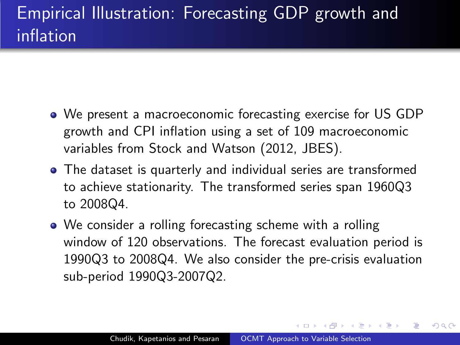- We present a macroeconomic forecasting exercise for US GDP growth and CPI inflation using a set of 109 macroeconomic variables from Stock and Watson (2012, JBES).
- The dataset is quarterly and individual series are transformed to achieve stationarity. The transformed series span 1960Q3 to 2008Q4.
- We consider a rolling forecasting scheme with a rolling window of 120 observations. The forecast evaluation period is 1990Q3 to 2008Q4. We also consider the pre-crisis evaluation sub-period 1990Q3-2007Q2.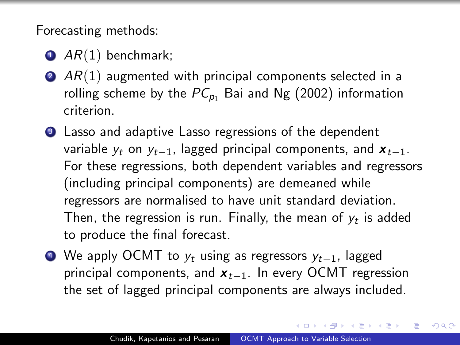<span id="page-75-0"></span>Forecasting methods:

- $\bullet$  AR(1) benchmark;
- $\bullet$  AR(1) augmented with principal components selected in a rolling scheme by the  $PC_{p_1}$  Bai and Ng (2002) information criterion.
- <sup>3</sup> Lasso and adaptive Lasso regressions of the dependent variable  $y_t$  on  $y_{t-1}$ , lagged principal components, and  $x_{t-1}$ . For these regressions, both dependent variables and regressors (including principal components) are demeaned while regressors are normalised to have unit standard deviation. Then, the regression is run. Finally, the mean of  $y_t$  is added to produce the final forecast.
- $\bigcirc$  We apply OCMT to  $y_t$  using as regressors  $y_{t-1}$ , lagged principal components, and  $x_{t-1}$ . In every OCMT regression the set of lagged principal components are always included.

マーティ ミュラー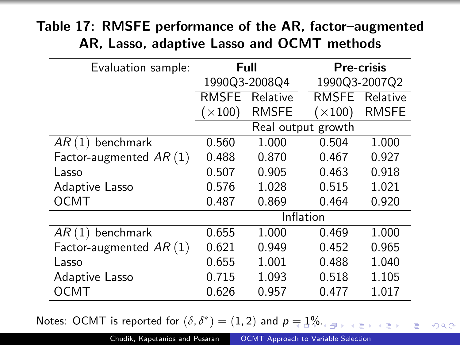## Table 17: RMSFE performance of the AR, factor–augmented AR, Lasso, adaptive Lasso and OCMT methods

| Evaluation sample:       |                    | Full         | <b>Pre-crisis</b> |              |  |
|--------------------------|--------------------|--------------|-------------------|--------------|--|
|                          | 1990Q3-2008Q4      |              | 1990Q3-2007Q2     |              |  |
|                          | <b>RMSFE</b>       | Relative     | <b>RMSFE</b>      | Relative     |  |
|                          | $(\times 100)$     | <b>RMSFE</b> | $(\times 100)$    | <b>RMSFE</b> |  |
|                          | Real output growth |              |                   |              |  |
| $AR(1)$ benchmark        | 0.560              | 1.000        | 0.504             | 1.000        |  |
| Factor-augmented $AR(1)$ | 0.488              | 0.870        | 0.467             | 0.927        |  |
| Lasso                    | 0.507              | 0.905        | 0.463             | 0.918        |  |
| Adaptive Lasso           | 0.576              | 1.028        | 0.515             | 1.021        |  |
| <b>OCMT</b>              | 0.487              | 0.869        | 0.464             | 0.920        |  |
|                          | Inflation          |              |                   |              |  |
| $AR(1)$ benchmark        | 0.655              | 1.000        | 0.469             | 1.000        |  |
| Factor-augmented $AR(1)$ | 0.621              | 0.949        | 0.452             | 0.965        |  |
| Lasso                    | 0.655              | 1.001        | 0.488             | 1.040        |  |
| Adaptive Lasso           | 0.715              | 1.093        | 0.518             | 1.105        |  |
| OCMT                     | 0.626              | 0.957        | 0.477             | 1.017        |  |

Notes: OCMT is reported for  $(\delta, \delta^*) = (1, 2)$  $(\delta, \delta^*) = (1, 2)$  $(\delta, \delta^*) = (1, 2)$  and  $p = 1\%$  $p = 1\%$ [.](#page-75-0)

 $QQ$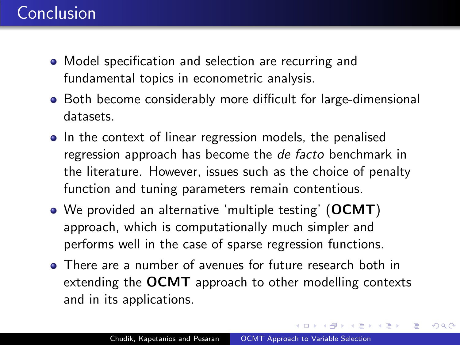# <span id="page-77-0"></span>Conclusion

- Model specification and selection are recurring and fundamental topics in econometric analysis.
- Both become considerably more difficult for large-dimensional datasets.
- In the context of linear regression models, the penalised regression approach has become the *de facto* benchmark in the literature. However, issues such as the choice of penalty function and tuning parameters remain contentious.
- We provided an alternative 'multiple testing' (OCMT) approach, which is computationally much simpler and performs well in the case of sparse regression functions.
- There are a number of avenues for future research both in extending the **OCMT** approach to other modelling contexts and in its applications.

 $\langle \bigcap \mathbb{P} \rangle$   $\rightarrow$   $\langle \bigcap \mathbb{P} \rangle$   $\rightarrow$   $\langle \bigcap \mathbb{P} \rangle$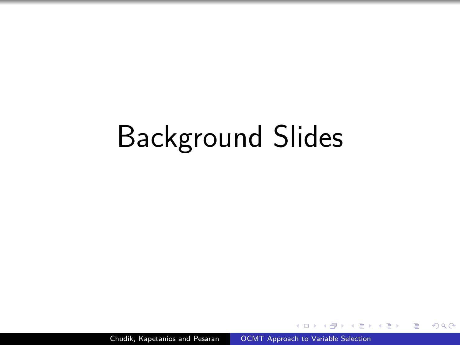# Background Slides

Chudik, Kapetanios and Pesaran | [OCMT Approach to Variable Selection](#page-0-0)

つくへ

э

 $\sim$ 

- 4 重 8 34 重 8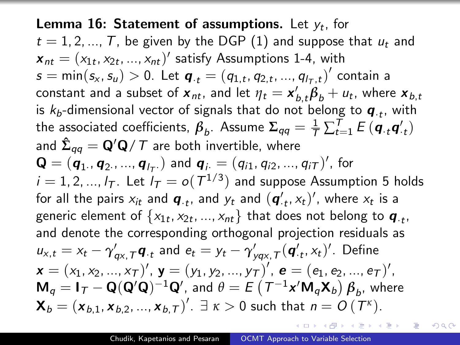**Lemma 16: Statement of assumptions.** Let  $y_t$ , for  $t = 1, 2, ..., T$ , be given by the DGP [\(1\)](#page-10-0) and suppose that  $u_t$  and  $\boldsymbol{x}_{nt} = (x_{1t}, x_{2t}, ..., x_{nt})'$  satisfy Assumptions 1-4, with  $s=\text{min}(s_\mathsf{x},s_\mathsf{u})>0.$  Let  $\bm{q}_{\cdot t}=(q_{1,t},q_{2,t},...,q_{l_T,t})'$  contain a constant and a subset of  $\bm{x}_{nt}$ , and let  $\eta_t = \bm{x}^{\prime}_{b,t}\bm{\beta}_b + u_t$ , where  $\bm{x}_{b,t}$ is  $k_b$ -dimensional vector of signals that do not belong to  $\boldsymbol{q}_{\cdot t}$ , with the associated coefficients,  $\beta_b$ . Assume  $\Sigma_{qq} = \frac{1}{7} \sum_{t=1}^{T} E(\bm{q}_{\cdot t} \bm{q}_{\cdot t}')$ and  $\boldsymbol{\hat{\Sigma}_{qq}} = \mathbf{Q}'\mathbf{Q} \, / \, \mathcal{T}$  are both invertible, where  $\mathbf{Q} = (\bm{q}_1., \bm{q}_2, , ... , \bm{q}_{I_T.})$  and  $\bm{q}_i = (q_{i1}, q_{i2}, ..., q_{iT})'$ , for  $i=1,2,...,l_{\mathcal{T}}.$  Let  $l_{\mathcal{T}}=o(\mathcal{T}^{1/3})$  and suppose Assumption 5 holds for all the pairs  $x_{it}$  and  $\boldsymbol{q}_{\cdot t}$ , and  $y_t$  and  $(\boldsymbol{q}'_{\cdot t}, x_t)'$ , where  $x_t$  is a generic element of  $\{ \mathsf{x}_{1t}, \mathsf{x}_{2t}, ..., \mathsf{x}_{nt} \}$  that does not belong to  $\boldsymbol{q}_{\cdot t},$ and denote the corresponding orthogonal projection residuals as  $u_{x,t} = x_t - \gamma'_{qx, \mathcal{T}} \boldsymbol{q}_{\cdot t}$  and  $e_t = y_t - \gamma'_{yqx, \mathcal{T}} (\boldsymbol{q}'_{\cdot t}, x_t)'$ . Define  $\pmb{x} = (x_1, x_2, ..., x_{\mathcal{T}})'$ ,  $\pmb{y} = (y_1, y_2, ..., y_{\mathcal{T}})'$ ,  $\pmb{e} = (e_1, e_2, ..., e_{\mathcal{T}})'$ ,  $\mathsf{M}_q=\mathsf{I}_\mathcal{T}-\mathsf{Q}(\mathsf{Q}'\mathsf{Q})^{-1}\mathsf{Q}',$  and  $\theta=\mathit{E}\left(\mathcal{T}^{-1}\mathsf{x}'\mathsf{M}_q\mathsf{X}_b\right)\pmb{\beta}_b,$  where  $\mathbf{X}_b = (\mathbf{x}_{b,1}, \mathbf{x}_{b,2}, ..., \mathbf{x}_{b,T})'$ .  $\exists \; \kappa > 0$  such that  $n = O(T^{\kappa}).$ 

 $QQ$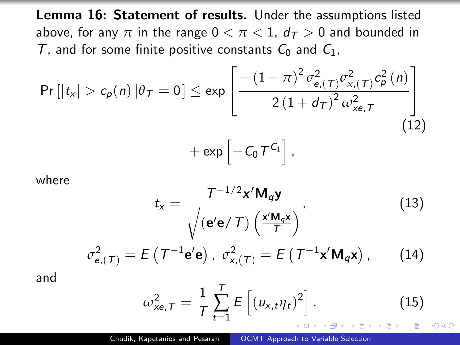Lemma 16: Statement of results. Under the assumptions listed above, for any  $\pi$  in the range  $0 < \pi < 1$ ,  $d_{\tau} > 0$  and bounded in T, and for some finite positive constants  $C_0$  and  $C_1$ ,

$$
\Pr\left[|t_{x}| > c_{p}(n) | \theta_{T} = 0\right] \le \exp\left[\frac{-\left(1 - \pi\right)^{2} \sigma_{e,(T)}^{2} \sigma_{x,(T)}^{2} c_{p}^{2}(n)}{2\left(1 + d_{T}\right)^{2} \omega_{xe,T}^{2}}\right] + \exp\left[-C_{0} T^{C_{1}}\right],\tag{12}
$$

where

$$
t_{x} = \frac{T^{-1/2}x'M_{q}\mathbf{y}}{\sqrt{\left(\mathbf{e'e}/T\right)\left(\frac{x'M_{q}x}{T}\right)}},\tag{13}
$$

$$
\sigma_{\mathbf{e},(\mathcal{T})}^2 = E\left(\mathcal{T}^{-1}\mathbf{e}'\mathbf{e}\right), \ \sigma_{\mathbf{x},(\mathcal{T})}^2 = E\left(\mathcal{T}^{-1}\mathbf{x}'\mathbf{M}_q\mathbf{x}\right),\qquad(14)
$$

and

$$
\omega_{xe,T}^2 = \frac{1}{T} \sum_{t=1}^T E\left[ (u_{x,t} \eta_t)^2 \right].
$$
 (15)